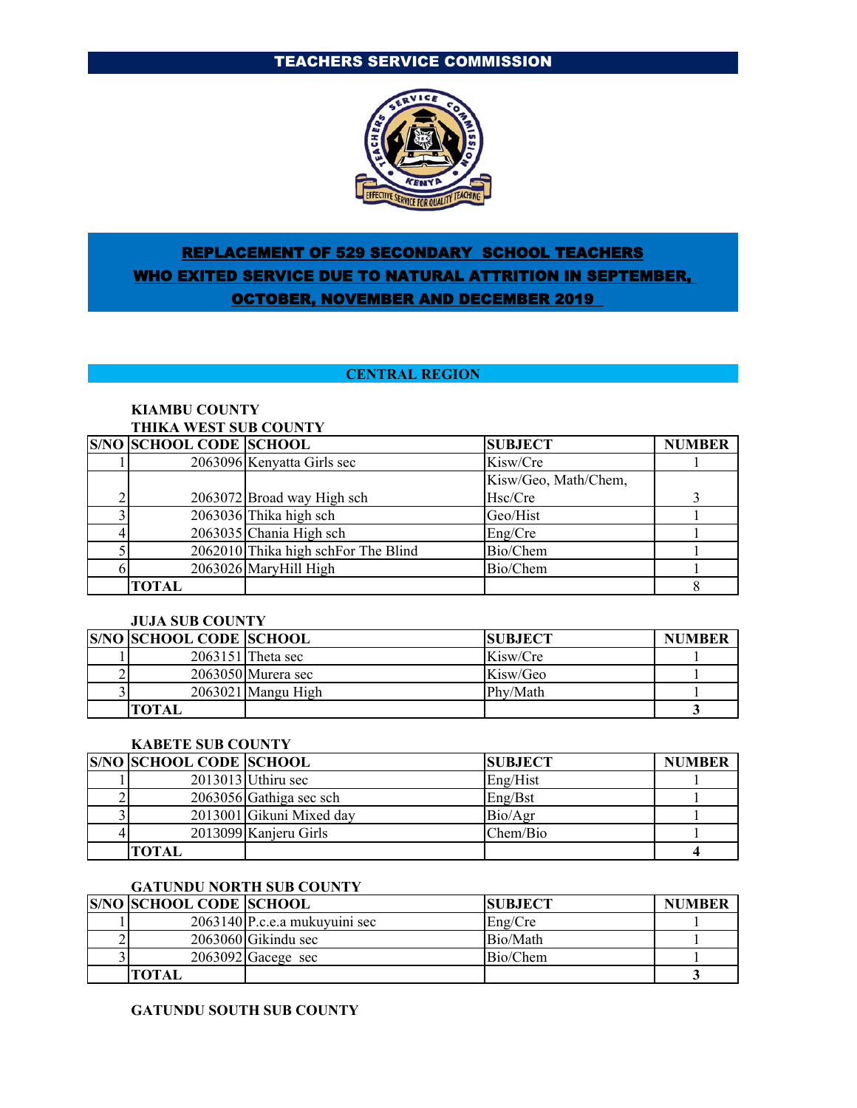# TEACHERS SERVICE COMMISSION



# REPLACEMENT OF 529 SECONDARY SCHOOL TEACHERS WHO EXITED SERVICE DUE TO NATURAL ATTRITION IN SEPTEMBER, OCTOBER, NOVEMBER AND DECEMBER 2019

### **CENTRAL REGION**

#### **KIAMBU COUNTY THIKA WEST SUB COUNTY**

| <b>S/NO SCHOOL CODE SCHOOL</b> |                                     | <b>SUBJECT</b>       | <b>NUMBER</b> |
|--------------------------------|-------------------------------------|----------------------|---------------|
|                                | 2063096 Kenyatta Girls sec          | Kisw/Cre             |               |
|                                |                                     | Kisw/Geo, Math/Chem, |               |
|                                | 2063072 Broad way High sch          | Hsc/Cre              |               |
|                                | 2063036 Thika high sch              | Geo/Hist             |               |
|                                | $2063035$ Chania High sch           | Eng/Cre              |               |
|                                | 2062010 Thika high schFor The Blind | Bio/Chem             |               |
|                                | 2063026 MaryHill High               | Bio/Chem             |               |
| <b>TOTAL</b>                   |                                     |                      |               |

#### **JUJA SUB COUNTY**

| <b>S/NO SCHOOL CODE SCHOOL</b> |                      | <b>SUBJECT</b> | <b>NUMBER</b> |
|--------------------------------|----------------------|----------------|---------------|
|                                | $2063151$ Theta sec  | Kisw/Cre       |               |
|                                | $2063050$ Murera sec | Kisw/Geo       |               |
|                                | $2063021$ Mangu High | Phy/Math       |               |
| <b>TOTAL</b>                   |                      |                |               |

### **KABETE SUB COUNTY**

| <b>S/NO SCHOOL CODE SCHOOL</b> |                          | <b>SUBJECT</b> | <b>NUMBER</b> |
|--------------------------------|--------------------------|----------------|---------------|
|                                | $2013013$ Uthiru sec     | Eng/Hist       |               |
|                                | 2063056 Gathiga sec sch  | Enz/Bst        |               |
|                                | 2013001 Gikuni Mixed day | Bio/Agr        |               |
|                                | 2013099 Kanjeru Girls    | Chem/Bio       |               |
| TOTAL                          |                          |                |               |

#### **GATUNDU NORTH SUB COUNTY**

| <b>S/NO SCHOOL CODE SCHOOL</b> |                               | <b>SUBJECT</b> | <b>NUMBER</b> |
|--------------------------------|-------------------------------|----------------|---------------|
|                                | 2063140 P.c.e.a mukuyuini sec | Eng/Cre        |               |
|                                | 2063060 Gikindu sec           | Bio/Math       |               |
|                                | $2063092$ Gacege sec          | Bio/Chem       |               |
| <b>TOTAL</b>                   |                               |                |               |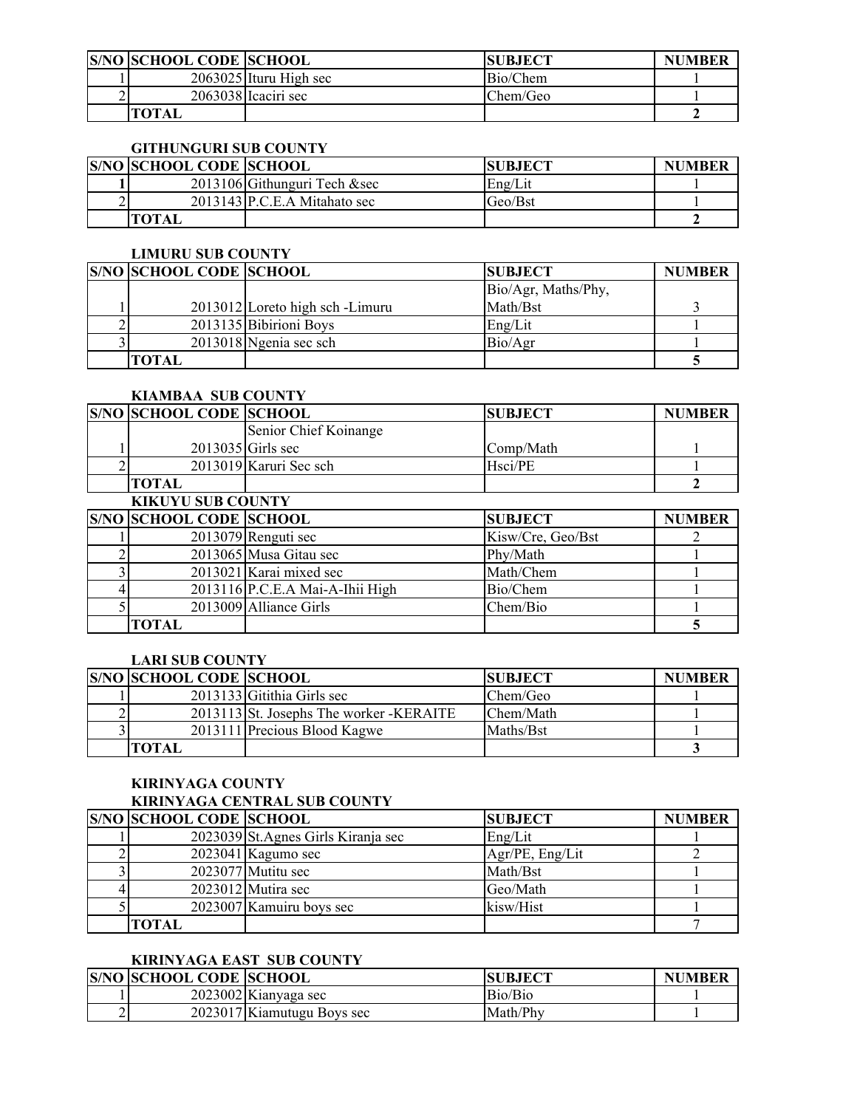| <b>S/NO SCHOOL CODE SCHOOL</b> |                          | <b>SUBJECT</b> | <b>NUMBER</b> |
|--------------------------------|--------------------------|----------------|---------------|
|                                | $2063025$ Ituru High sec | Bio/Chem       |               |
|                                | $2063038$ Icaciri sec    | Chem/Geo       |               |
| <b>TOTAL</b>                   |                          |                |               |

# **GITHUNGURI SUB COUNTY**

| <b>S/NO SCHOOL CODE SCHOOL</b> |                               | <b>SUBJECT</b> | <b>NUMBER</b> |
|--------------------------------|-------------------------------|----------------|---------------|
|                                | 2013106 Githunguri Tech & sec | Eng/Lit        |               |
|                                | 2013143 P.C.E.A Mitahato sec  | Geo/Bst        |               |
| <b>TOTAL</b>                   |                               |                |               |

#### **LIMURU SUB COUNTY**

| <b>S/NO SCHOOL CODE SCHOOL</b> |                                | <b>SUBJECT</b>      | <b>NUMBER</b> |
|--------------------------------|--------------------------------|---------------------|---------------|
|                                |                                | Bio/Agr, Maths/Phy, |               |
|                                | 2013012 Loreto high sch-Limuru | Math/Bst            |               |
|                                | 2013135 Bibirioni Boys         | Eng/Lit             |               |
|                                | 2013018 Ngenia sec sch         | Bio/Agr             |               |
| TOTAL                          |                                |                     |               |

# **KIAMBAA SUB COUNTY**

| <b>S/NO SCHOOL CODE SCHOOL</b> |                        | <b>SUBJECT</b>        | <b>NUMBER</b>  |  |
|--------------------------------|------------------------|-----------------------|----------------|--|
|                                | Senior Chief Koinange  |                       |                |  |
|                                | $2013035$ Girls sec    | Comp/Math             |                |  |
|                                | 2013019 Karuri Sec sch | Hsci/PE               |                |  |
| <b>TOTAL</b>                   |                        |                       |                |  |
| <b>KIKUYU SUB COUNTY</b>       |                        |                       |                |  |
| <b>CAIO COUGOI CODE COUGOI</b> |                        | $C$ in $D$ $C$ in $C$ | <b>MILLION</b> |  |

| <b>S/NO SCHOOL CODE SCHOOL</b> |                                 | <b>SUBJECT</b>    | <b>NUMBER</b> |
|--------------------------------|---------------------------------|-------------------|---------------|
|                                | $2013079$ Renguti sec           | Kisw/Cre, Geo/Bst |               |
|                                | 2013065 Musa Gitau sec          | Phy/Math          |               |
|                                | 2013021 Karai mixed sec         | Math/Chem         |               |
|                                | 2013116 P.C.E.A Mai-A-Ihii High | Bio/Chem          |               |
|                                | 2013009 Alliance Girls          | Chem/Bio          |               |
| TOTAL                          |                                 |                   |               |

### **LARI SUB COUNTY**

| <b>S/NO SCHOOL CODE SCHOOL</b> |                                          | <b>SUBJECT</b> | <b>NUMBER</b> |
|--------------------------------|------------------------------------------|----------------|---------------|
|                                | 2013133 Gitithia Girls sec               | Chem/Geo       |               |
|                                | 2013113 St. Josephs The worker - KERAITE | Chem/Math      |               |
|                                | 2013111 Precious Blood Kagwe             | Maths/Bst      |               |
| готаі                          |                                          |                |               |

# **KIRINYAGA COUNTY**

# **KIRINYAGA CENTRAL SUB COUNTY**

| <b>S/NO SCHOOL CODE SCHOOL</b> |                                     | <b>SUBJECT</b>  | <b>NUMBER</b> |
|--------------------------------|-------------------------------------|-----------------|---------------|
|                                | 2023039 St. Agnes Girls Kiranja sec | Eng/Lit         |               |
|                                | $2023041$ Kagumo sec                | Agr/PE, Eng/Lit |               |
|                                | 2023077 Mutitu sec                  | Math/Bst        |               |
|                                | 2023012 Mutira sec                  | Geo/Math        |               |
|                                | 2023007 Kamuiru boys sec            | kisw/Hist       |               |
| TOTAL                          |                                     |                 |               |

# **KIRINYAGA EAST SUB COUNTY**

|   | <b>S/NO SCHOOL CODE SCHOOL</b> |                            | <b>ISUBJECT</b> | <b>NUMBER</b> |
|---|--------------------------------|----------------------------|-----------------|---------------|
|   |                                | $2023002$ Kianyaga sec     | Bio/Bio         |               |
| ∼ |                                | 2023017 Kiamutugu Boys sec | Math/Phy        |               |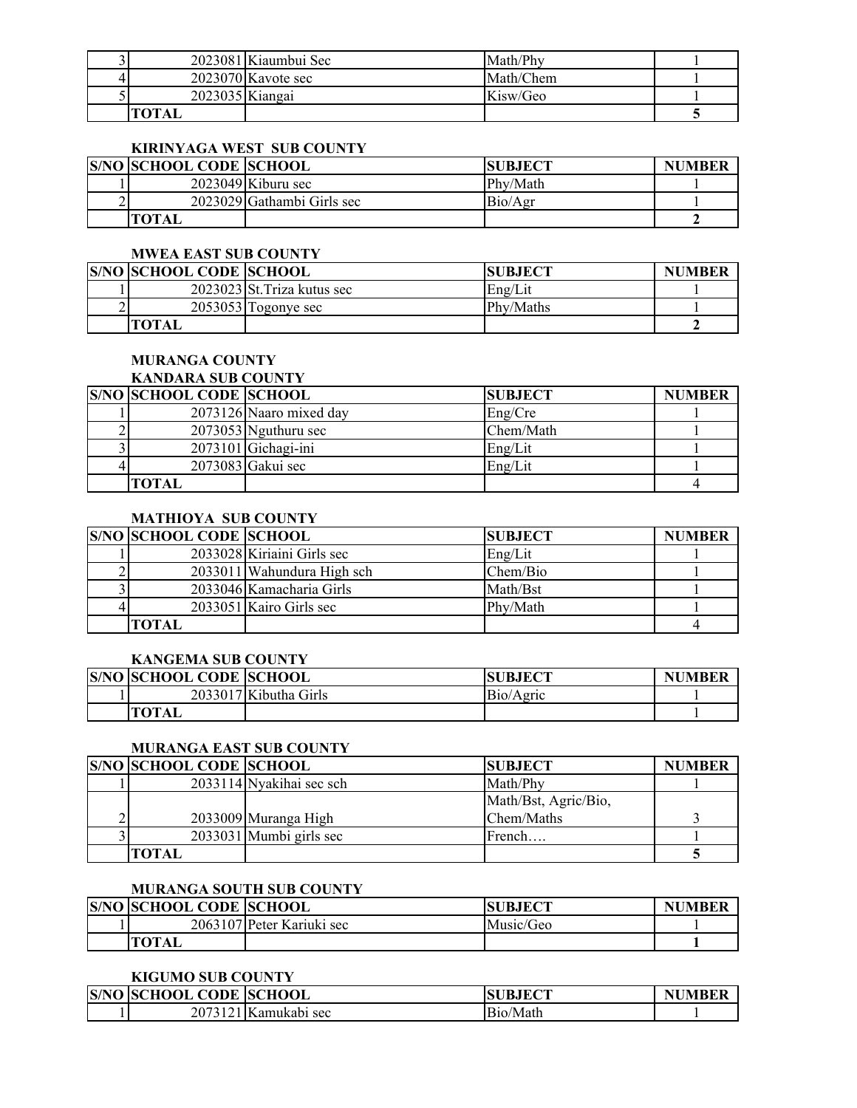|                 | 2023081 Kiaumbui Sec | Math/Phy  |  |
|-----------------|----------------------|-----------|--|
|                 | $2023070$ Kavote sec | Math/Chem |  |
| 2023035 Kiangai |                      | Kisw/Geo  |  |
|                 |                      |           |  |

# **KIRINYAGA WEST SUB COUNTY**

| <b>S/NO SCHOOL CODE SCHOOL</b> |                            | <b>SUBJECT</b> | <b>NUMBER</b> |
|--------------------------------|----------------------------|----------------|---------------|
|                                | $2023049$ Kiburu sec       | Phy/Math       |               |
|                                | 2023029 Gathambi Girls sec | Bio/Agr        |               |
| <b>TOTAL</b>                   |                            |                |               |

#### **MWEA EAST SUB COUNTY**

| <b>S/NO SCHOOL CODE SCHOOL</b> |                             | <b>SUBJECT</b> | <b>NUMBER</b> |
|--------------------------------|-----------------------------|----------------|---------------|
|                                | 2023023 St. Triza kutus sec | Eng/Lit        |               |
|                                | $2053053$ Togonye sec       | Phy/Maths      |               |
| ™ОТА.                          |                             |                |               |

### **MURANGA COUNTY**

# **KANDARA SUB COUNTY**

| <b>S/NO SCHOOL CODE SCHOOL</b> |                         | <b>SUBJECT</b> | <b>NUMBER</b> |
|--------------------------------|-------------------------|----------------|---------------|
|                                | 2073126 Naaro mixed day | Eng/Cre        |               |
|                                | 2073053 Nguthuru sec    | Chem/Math      |               |
|                                | $2073101$ Gichagi-ini   | Eng/Lit        |               |
|                                | 2073083 Gakui sec       | Eng/Lit        |               |
| TOTAL                          |                         |                |               |

# **MATHIOYA SUB COUNTY**

| <b>S/NO SCHOOL CODE SCHOOL</b> |                            | <b>SUBJECT</b> | <b>NUMBER</b> |
|--------------------------------|----------------------------|----------------|---------------|
|                                | 2033028 Kiriaini Girls sec | Eng/Lit        |               |
|                                | 2033011 Wahundura High sch | Chem/Bio       |               |
|                                | 2033046 Kamacharia Girls   | Math/Bst       |               |
|                                | 2033051 Kairo Girls sec    | Phy/Math       |               |
| <b>TOTAL</b>                   |                            |                |               |

#### **KANGEMA SUB COUNTY**

| <b>S/NO SCHOOL CODE SCHOOL</b> |                       | <b>SUBJECT</b> | <b>NUMBER</b> |
|--------------------------------|-----------------------|----------------|---------------|
|                                | 2033017 Kibutha Girls | Bio/Agric      |               |
| <b>TOTAL</b>                   |                       |                |               |

# **MURANGA EAST SUB COUNTY**

| <b>S/NO SCHOOL CODE SCHOOL</b> |                          | <b>SUBJECT</b>       | <b>NUMBER</b> |
|--------------------------------|--------------------------|----------------------|---------------|
|                                | 2033114 Nyakihai sec sch | Math/Phy             |               |
|                                |                          | Math/Bst, Agric/Bio, |               |
|                                | 2033009 Muranga High     | Chem/Maths           |               |
|                                | 2033031 Mumbi girls sec  | French               |               |
| [OTAL                          |                          |                      |               |

### **MURANGA SOUTH SUB COUNTY**

| <b>S/NO SCHOOL CODE SCHOOL</b> |                           | <b>SUBJECT</b> | <b>NUMBER</b> |
|--------------------------------|---------------------------|----------------|---------------|
|                                | 2063107 Peter Kariuki sec | Music/Geo      |               |
|                                |                           |                |               |

#### **KIGUMO SUB COUNTY**

| S/NO | <b>SCHOOL</b><br><b>CODE</b> | <b>SCHOOL</b>   | <b>IECT</b><br>ЭU<br>БJ | IIMRFE<br>N. |
|------|------------------------------|-----------------|-------------------------|--------------|
|      | 307313<br>∸                  | . IKamukabi sec | Bio/<br>'Math           |              |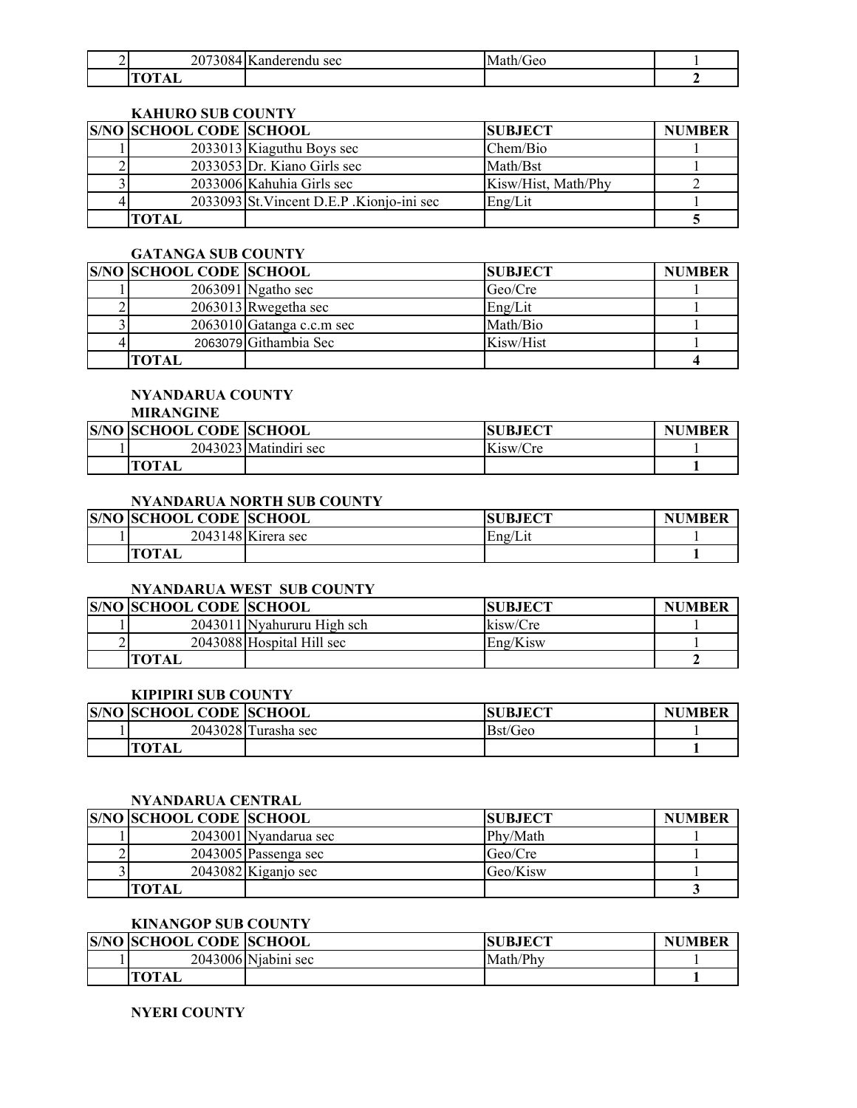| 207200<br>∠U. | sec<br>`deren.<br>$\sim$ | NЛ<br><b>TEC</b><br>m. |  |
|---------------|--------------------------|------------------------|--|
| <b>Allege</b> |                          |                        |  |

### **KAHURO SUB COUNTY**

| <b>S/NO SCHOOL CODE SCHOOL</b> |                                           | <b>SUBJECT</b>      | <b>NUMBER</b> |
|--------------------------------|-------------------------------------------|---------------------|---------------|
|                                | 2033013 Kiaguthu Boys sec                 | Chem/Bio            |               |
|                                | $2033053$ Dr. Kiano Girls sec             | Math/Bst            |               |
|                                | 2033006 Kahuhia Girls sec                 | Kisw/Hist, Math/Phy |               |
|                                | 2033093 St. Vincent D.E.P. Kionjo-ini sec | Eng/Lit             |               |
| TOTAL                          |                                           |                     |               |

### **GATANGA SUB COUNTY**

| <b>S/NO SCHOOL CODE SCHOOL</b> |                             | <b>SUBJECT</b> | <b>NUMBER</b> |
|--------------------------------|-----------------------------|----------------|---------------|
|                                | $2063091$ Ngatho sec        | Geo/Cre        |               |
|                                | $2063013$ Rwegetha sec      | Eng/Lit        |               |
|                                | $2063010$ Gatanga c.c.m sec | Math/Bio       |               |
|                                | 2063079 Githambia Sec       | Kisw/Hist      |               |
| TOTAL                          |                             |                |               |

# **NYANDARUA COUNTY**

# **MIRANGINE**

| <b>S/NO SCHOOL CODE SCHOOL</b> |                       | <b>SUBJECT</b> | <b>NUMBER</b> |
|--------------------------------|-----------------------|----------------|---------------|
|                                | 2043023 Matindiri sec | Kisw/Cre       |               |
| <b>TOTAL</b>                   |                       |                |               |

# **NYANDARUA NORTH SUB COUNTY**

| <b>S/NO SCHOOL CODE SCHOOL</b> |                      | <b>SUBJECT</b> | <b>NUMBER</b> |
|--------------------------------|----------------------|----------------|---------------|
|                                | $2043148$ Kirera sec | Eng/Lit        |               |
| <b>TOTAL</b>                   |                      |                |               |

### **NYANDARUA WEST SUB COUNTY**

| <b>S/NO SCHOOL CODE SCHOOL</b> |                            | <b>SUBJECT</b> | <b>NUMBER</b> |
|--------------------------------|----------------------------|----------------|---------------|
|                                | 2043011 Nyahururu High sch | kisw/Cre       |               |
|                                | 2043088 Hospital Hill sec  | Eng/Kisw       |               |
| <b>TOTAL</b>                   |                            |                |               |

### **KIPIPIRI SUB COUNTY**

| <b>S/NO SCHOOL CODE SCHOOL</b> |                     | <b>JBJECT</b><br>SU | <b>NUMBER</b> |
|--------------------------------|---------------------|---------------------|---------------|
|                                | 2043028 Turasha sec | Bst/Geo             |               |
| <b>TOTAL</b>                   |                     |                     |               |

### **NYANDARUA CENTRAL**

| <b>S/NO SCHOOL CODE SCHOOL</b> |                        | <b>ISUBJECT</b> | <b>NUMBER</b> |
|--------------------------------|------------------------|-----------------|---------------|
|                                | 2043001 Nyandarua sec  | Phy/Math        |               |
|                                | $2043005$ Passenga sec | Geo/Cre         |               |
|                                | $2043082$ Kiganjo sec  | Geo/Kisw        |               |
| TOTAL                          |                        |                 |               |

# **KINANGOP SUB COUNTY**

| <b>S/NO SCHOOL CODE SCHOOL</b> |                     | <b>JBJECT</b><br>SU | UMBER<br>NI |
|--------------------------------|---------------------|---------------------|-------------|
|                                | 2043006 Niabini sec | Math/Phy            |             |
|                                |                     |                     |             |

### **NYERI COUNTY**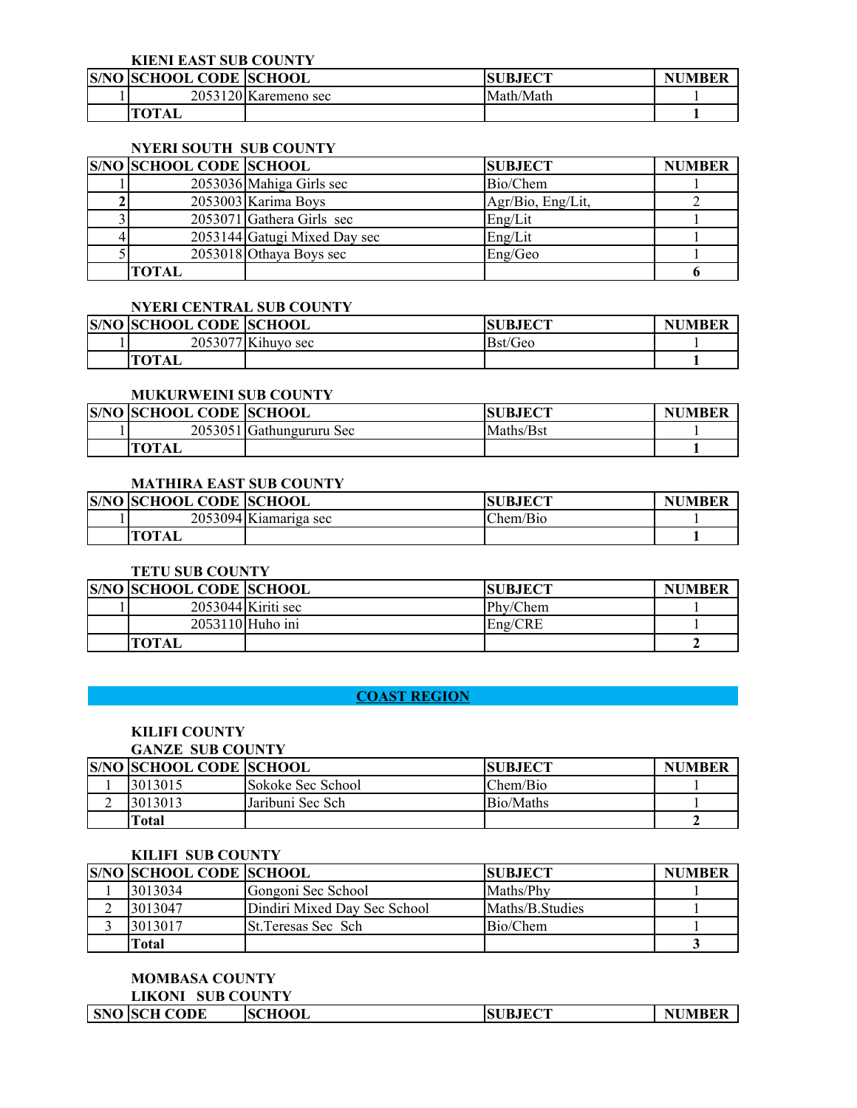**KIENI EAST SUB COUNTY**

| <b>S/NO SCHOOL CODE SCHOOL</b> |                      | <b>SUBJECT</b> | <b>NUMBER</b> |
|--------------------------------|----------------------|----------------|---------------|
|                                | 2053120 Karemeno sec | Math/Math      |               |
| <b>TOTAL</b>                   |                      |                |               |

### **NYERI SOUTH SUB COUNTY**

| <b>S/NO SCHOOL CODE SCHOOL</b> |                              | <b>SUBJECT</b>    | <b>NUMBER</b> |
|--------------------------------|------------------------------|-------------------|---------------|
|                                | 2053036 Mahiga Girls sec     | Bio/Chem          |               |
|                                | 2053003 Karima Boys          | Agr/Bio, Eng/Lit, |               |
|                                | $2053071$ Gathera Girls sec  | Eng/Lit           |               |
|                                | 2053144 Gatugi Mixed Day sec | Eng/Lit           |               |
|                                | 2053018 Othaya Boys sec      | Eng/Geo           |               |
| TOTAL                          |                              |                   |               |

#### **NYERI CENTRAL SUB COUNTY**

| <b>S/NO SCHOOL CODE SCHOOL</b> |                      | <b>JBJECT</b><br>SU | <b>NUMBER</b> |
|--------------------------------|----------------------|---------------------|---------------|
|                                | $2053077$ Kihuyo sec | Bst/Geo             |               |
| <b>TOTAL</b>                   |                      |                     |               |

# **MUKURWEINI SUB COUNTY**

| <b>S/NO SCHOOL CODE SCHOOL</b> |                          | <b>SUBJECT</b> | UMBER<br>NI |
|--------------------------------|--------------------------|----------------|-------------|
|                                | 2053051 Gathungururu Sec | Maths/Bst      |             |
| <b>TOT</b> <sub>A</sub>        |                          |                |             |

### **MATHIRA EAST SUB COUNTY**

| <b>S/NO SCHOOL CODE SCHOOL</b> |                       | <b>SUBJECT</b> | <b>NUMBER</b> |
|--------------------------------|-----------------------|----------------|---------------|
|                                | 2053094 Kiamariga sec | hem/Bio        |               |
| TOT.                           |                       |                |               |

### **TETU SUB COUNTY**

| <b>S/NO SCHOOL CODE SCHOOL</b> |                      | <b>SUBJECT</b> | <b>NUMBER</b> |
|--------------------------------|----------------------|----------------|---------------|
|                                | $2053044$ Kiriti sec | Phy/Chem       |               |
|                                | 2053110 Huho ini     | Eng/CRE        |               |
| <b>TOTAL</b>                   |                      |                |               |

# **COAST REGION**

# **KILIFI COUNTY**

# **GANZE SUB COUNTY**

| <b>S/NO SCHOOL CODE SCHOOL</b> |                   | <b>SUBJECT</b> | <b>NUMBER</b> |
|--------------------------------|-------------------|----------------|---------------|
| 3013015                        | Sokoke Sec School | Chem/Bio       |               |
| 3013013                        | Jaribuni Sec Sch  | Bio/Maths      |               |
| ⊺otal                          |                   |                |               |

#### **KILIFI SUB COUNTY**

| <b>S/NO SCHOOL CODE SCHOOL</b> |                              | <b>SUBJECT</b>  | <b>NUMBER</b> |
|--------------------------------|------------------------------|-----------------|---------------|
| 3013034                        | Gongoni Sec School           | Maths/Phy       |               |
| 3013047                        | Dindiri Mixed Day Sec School | Maths/B Studies |               |
| 3013017                        | <b>St. Teresas Sec Sch</b>   | Bio/Chem        |               |
| Total                          |                              |                 |               |

**MOMBASA COUNTY LIKONI SUB COUNTY**

|  |  | <b>SNO SCH CODE</b> | <b>SCHOOL</b> | <b>SUBJECT</b> | <b>NUMBER</b> |
|--|--|---------------------|---------------|----------------|---------------|
|--|--|---------------------|---------------|----------------|---------------|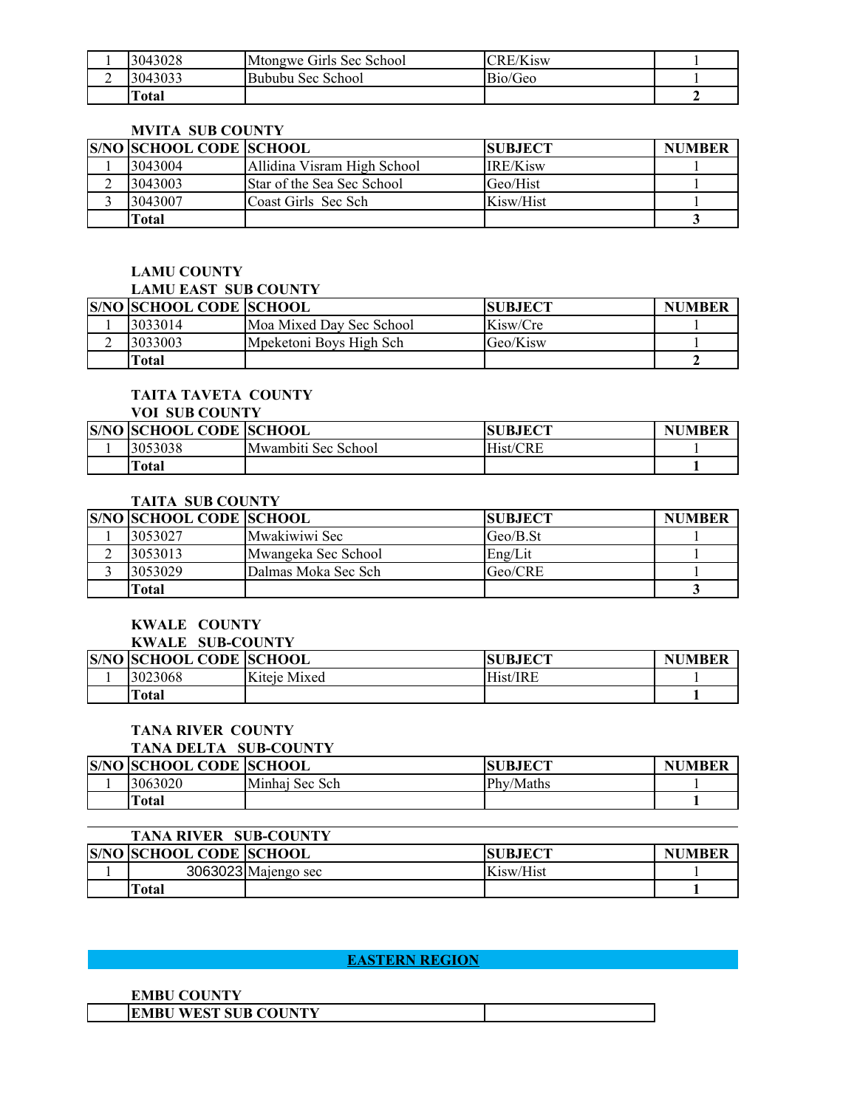|   | 3043028      | Mtongwe Girls Sec School | CRE/Kisw |  |
|---|--------------|--------------------------|----------|--|
| ∸ | 3043033      | Bububu Sec School        | Bio/Geo  |  |
|   | <b>Total</b> |                          |          |  |

#### **MVITA SUB COUNTY**

| <b>S/NO SCHOOL CODE SCHOOL</b> |                             | <b>ISUBJECT</b> | <b>NUMBER</b> |
|--------------------------------|-----------------------------|-----------------|---------------|
| 3043004                        | Allidina Visram High School | IRE/Kisw        |               |
| 3043003                        | Star of the Sea Sec School  | Geo/Hist        |               |
| 3043007                        | Coast Girls Sec Sch         | Kisw/Hist       |               |
| Total                          |                             |                 |               |

#### **LAMU COUNTY LAMU EAST SUB COUNTY**

| LAMU LASI - SUB COUNTY         |                          |                |               |
|--------------------------------|--------------------------|----------------|---------------|
| <b>S/NO SCHOOL CODE SCHOOL</b> |                          | <b>SUBJECT</b> | <b>NUMBER</b> |
| 3033014                        | Moa Mixed Dav Sec School | Kisw/Cre       |               |
| 3033003                        | Mpeketoni Boys High Sch  | Geo/Kisw       |               |
| Total                          |                          |                |               |

# **TAITA TAVETA COUNTY**

|  |  |  | <b>VOI SUB COUNTY</b> |
|--|--|--|-----------------------|
|--|--|--|-----------------------|

| <b>S/NO SCHOOL CODE SCHOOL</b> |                     | <b>JBJECT</b><br>SU | <b>NUMBER</b> |
|--------------------------------|---------------------|---------------------|---------------|
| 3053038                        | Mwambiti Sec School | Hist/CRE            |               |
| <b>Total</b>                   |                     |                     |               |

# **TAITA SUB COUNTY**

| <b>S/NO SCHOOL CODE SCHOOL</b> |                     | <b>ISUBJECT</b> | <b>NUMBER</b> |
|--------------------------------|---------------------|-----------------|---------------|
| 3053027                        | Mwakiwiwi Sec       | $Geo/B.$ St     |               |
| 3053013                        | Mwangeka Sec School | Eng/Lit         |               |
| 3053029                        | Dalmas Moka Sec Sch | Geo/CRE         |               |
| Total                          |                     |                 |               |

#### **KWALE COUNTY**

#### **KWALE SUB-COUNTY**

| <b>S/NO SCHOOL CODE SCHOOL</b> |              | <b>SUBJECT</b> | <b>NUMBER</b> |
|--------------------------------|--------------|----------------|---------------|
| 3023068                        | Kiteie Mixed | Hist/IRE       |               |
| <b>Total</b>                   |              |                |               |

# **TANA RIVER COUNTY**

# **TANA DELTA SUB-COUNTY**

| <b>S/NO SCHOOL CODE SCHOOL</b> |                | <b>SUBJECT</b> | <b>NUMBER</b> |
|--------------------------------|----------------|----------------|---------------|
| 3063020                        | Minhaj Sec Sch | Phy/Maths      |               |
| Total                          |                |                |               |

| <b>TANA RIVER SUB-COUNTY</b>   |                     |                |               |
|--------------------------------|---------------------|----------------|---------------|
| <b>S/NO SCHOOL CODE SCHOOL</b> |                     | <b>SUBJECT</b> | <b>NUMBER</b> |
|                                | 3063023 Majengo sec | Kisw/Hist      |               |
| `otal                          |                     |                |               |

# **EASTERN REGION EASTERN REGION**

| <b>EMBU COUNTY</b>                    |  |
|---------------------------------------|--|
| <b>WEST SUB COUNTY</b><br><b>EMBU</b> |  |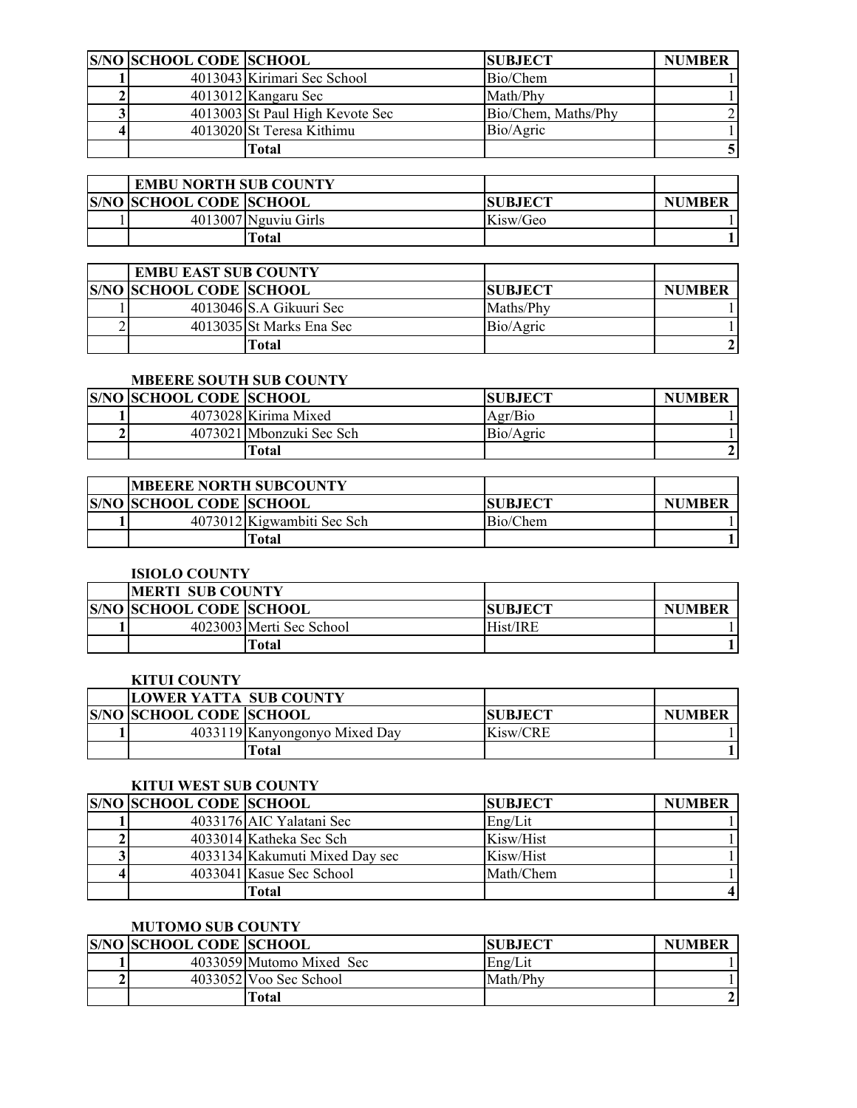| <b>S/NO SCHOOL CODE SCHOOL</b> |                                 | <b>SUBJECT</b>      | <b>NUMBER</b> |
|--------------------------------|---------------------------------|---------------------|---------------|
|                                | 4013043 Kirimari Sec School     | Bio/Chem            |               |
|                                | 4013012 Kangaru Sec             | Math/Phy            |               |
|                                | 4013003 St Paul High Kevote Sec | Bio/Chem, Maths/Phy |               |
|                                | 4013020 St Teresa Kithimu       | Bio/Agric           |               |
|                                | Total                           |                     |               |

| <b>EMBU NORTH SUB COUNTY</b>   |                      |                 |               |
|--------------------------------|----------------------|-----------------|---------------|
| <b>S/NO SCHOOL CODE SCHOOL</b> |                      | <b>ISUBJECT</b> | <b>NUMBER</b> |
|                                | 4013007 Nguviu Girls | Kisw/Geo        |               |
|                                | Total                |                 |               |

| <b>EMBU EAST SUB COUNTY</b>    |                           |                |               |
|--------------------------------|---------------------------|----------------|---------------|
| <b>S/NO SCHOOL CODE SCHOOL</b> |                           | <b>SUBJECT</b> | <b>NUMBER</b> |
|                                | $4013046$ S.A Gikuuri Sec | Maths/Phy      |               |
|                                | 4013035 St Marks Ena Sec  | Bio/Agric      |               |
|                                | Fotal                     |                |               |

# **MBEERE SOUTH SUB COUNTY**

| <b>S/NO SCHOOL CODE SCHOOL</b> |                          | <b>SUBJECT</b> | <b>NUMBER</b> |
|--------------------------------|--------------------------|----------------|---------------|
|                                | 4073028 Kirima Mixed     | Agr/Bio        |               |
|                                | 4073021 Mbonzuki Sec Sch | Bio/Agric      |               |
|                                | <b>Total</b>             |                |               |

| <b>IMBEERE NORTH SUBCOUNTY</b> |                            |                |               |
|--------------------------------|----------------------------|----------------|---------------|
| <b>S/NO SCHOOL CODE SCHOOL</b> |                            | <b>SUBJECT</b> | <b>NUMBER</b> |
|                                | 4073012 Kigwambiti Sec Sch | Bio/Chem       |               |
|                                | [otal                      |                |               |

| <b>ISIOLO COUNTY</b>           |                          |                 |               |
|--------------------------------|--------------------------|-----------------|---------------|
| <b>IMERTI SUB COUNTY</b>       |                          |                 |               |
| <b>S/NO SCHOOL CODE SCHOOL</b> |                          | <b>ISUBJECT</b> | <b>NUMBER</b> |
|                                | 4023003 Merti Sec School | Hist/IRE        |               |
|                                | Fotal                    |                 |               |

### **KITUI COUNTY**

| <b>LOWER YATTA SUB COUNTY</b>  |                               |                |               |
|--------------------------------|-------------------------------|----------------|---------------|
| <b>S/NO SCHOOL CODE SCHOOL</b> |                               | <b>SUBJECT</b> | <b>NUMBER</b> |
|                                | 4033119 Kanyongonyo Mixed Day | Kisw/CRE       |               |
|                                | Total                         |                |               |

# **KITUI WEST SUB COUNTY**

| <b>S/NO SCHOOL CODE SCHOOL</b> |                                | <b>SUBJECT</b> | <b>NUMBER</b> |
|--------------------------------|--------------------------------|----------------|---------------|
|                                | 4033176 AIC Yalatani Sec       | Eng/Lit        |               |
|                                | 4033014 Katheka Sec Sch        | Kisw/Hist      |               |
|                                | 4033134 Kakumuti Mixed Day sec | Kisw/Hist      |               |
|                                | 4033041 Kasue Sec School       | Math/Chem      |               |
|                                | Total                          |                |               |

# **MUTOMO SUB COUNTY**

| <b>S/NO SCHOOL CODE SCHOOL</b> |                          | <b>SUBJECT</b> | <b>NUMBER</b> |
|--------------------------------|--------------------------|----------------|---------------|
|                                | 4033059 Mutomo Mixed Sec | Eng/Lit        |               |
|                                | 4033052 Voo Sec School   | Math/Phy       |               |
|                                | Total                    |                |               |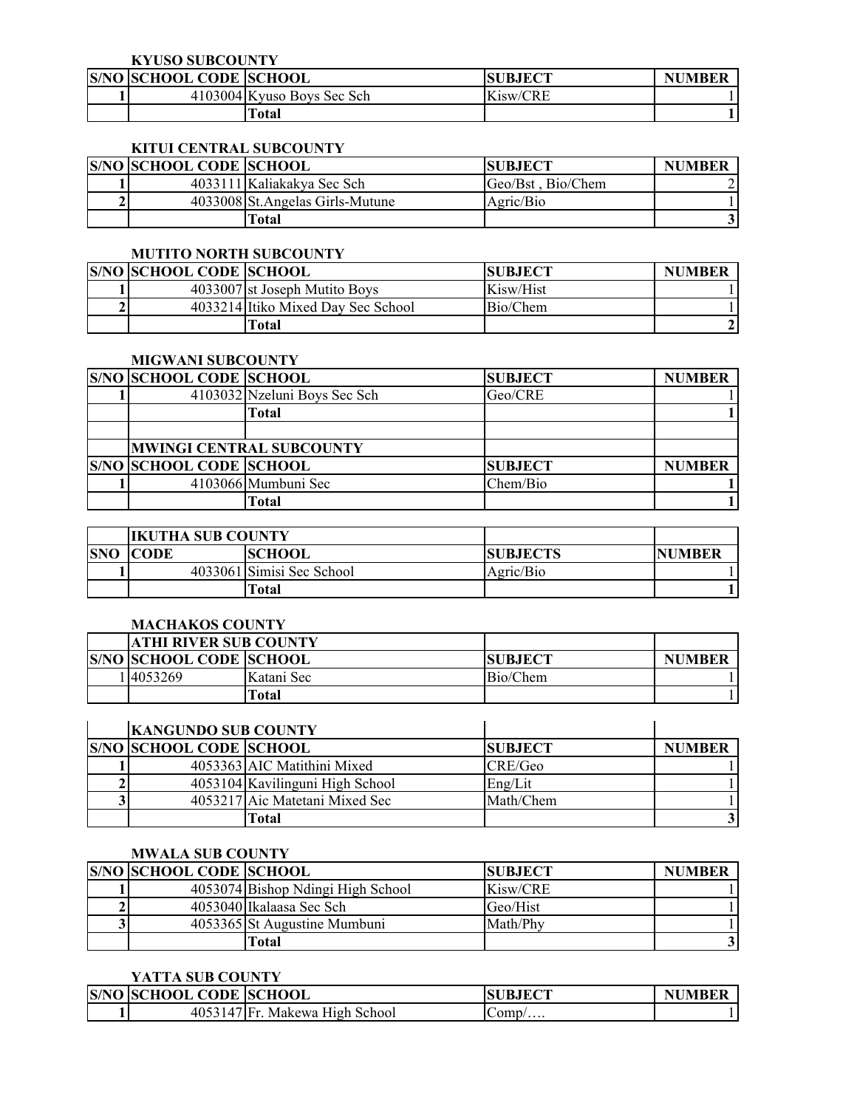#### **KYUSO SUBCOUNTY**

| <b>S/NO SCHOOL CODE SCHOOL</b> |                            | <b>SUBJECT</b> | <b>NUMBER</b> |
|--------------------------------|----------------------------|----------------|---------------|
|                                | 4103004 Kyuso Boys Sec Sch | Kisw/CRE       |               |
|                                | Fotal                      |                |               |

# **KITUI CENTRAL SUBCOUNTY**

| <b>S/NO SCHOOL CODE SCHOOL</b> |                                  | <b>ISUBJECT</b>   | <b>NUMBER</b> |
|--------------------------------|----------------------------------|-------------------|---------------|
|                                | 4033111 Kaliakakya Sec Sch       | Geo/Bst, Bio/Chem |               |
|                                | 4033008 St. Angelas Girls-Mutune | Agric/Bio         |               |
|                                | Fotal                            |                   |               |

#### **MUTITO NORTH SUBCOUNTY**

| <b>S/NO SCHOOL CODE SCHOOL</b> |                                    | <b>SUBJECT</b> | <b>NUMBER</b> |
|--------------------------------|------------------------------------|----------------|---------------|
|                                | 4033007 st Joseph Mutito Boys      | Kisw/Hist      |               |
|                                | 4033214 Itiko Mixed Day Sec School | Bio/Chem       |               |
|                                | Fotal                              |                |               |

#### **MIGWANI SUBCOUNTY**

| <b>S/NO SCHOOL CODE SCHOOL</b> |                              | <b>SUBJECT</b> | <b>NUMBER</b> |
|--------------------------------|------------------------------|----------------|---------------|
|                                | 4103032 Nzeluni Boys Sec Sch | Geo/CRE        |               |
|                                | Total                        |                |               |
|                                |                              |                |               |
|                                | MWINGI CENTRAL SUBCOUNTY     |                |               |
| <b>S/NO SCHOOL CODE SCHOOL</b> |                              | <b>SUBJECT</b> | <b>NUMBER</b> |
|                                | 4103066 Mumbuni Sec          | Chem/Bio       |               |
|                                | Total                        |                |               |

|            | <b>IKUTHA SUB COUNTY</b> |                           |                 |               |
|------------|--------------------------|---------------------------|-----------------|---------------|
| <b>SNO</b> | <b>CODE</b>              | <b>SCHOOL</b>             | <b>SUBJECTS</b> | <b>NUMBER</b> |
|            |                          | 4033061 Simisi Sec School | Agric/Bio       |               |
|            |                          | Total                     |                 |               |

## **MACHAKOS COUNTY**

| <b>ATHI RIVER SUB COUNTY</b>   |            |                 |               |
|--------------------------------|------------|-----------------|---------------|
| <b>S/NO SCHOOL CODE SCHOOL</b> |            | <b>ISUBJECT</b> | <b>NUMBER</b> |
| 1 4053269                      | Katani Sec | Bio/Chem        |               |
|                                | Fotal      |                 |               |

| <b>KANGUNDO SUB COUNTY</b>     |                                 |                |               |
|--------------------------------|---------------------------------|----------------|---------------|
| <b>S/NO SCHOOL CODE SCHOOL</b> |                                 | <b>SUBJECT</b> | <b>NUMBER</b> |
|                                | 4053363 AIC Matithini Mixed     | CRE/Geo        |               |
|                                | 4053104 Kavilinguni High School | Eng/Lit        |               |
|                                | 4053217 Aic Matetani Mixed Sec  | Math/Chem      |               |
|                                | Fotal                           |                |               |

# **MWALA SUB COUNTY**

| <b>S/NO SCHOOL CODE SCHOOL</b> |                                   | <b>ISUBJECT</b> | <b>NUMBER</b> |
|--------------------------------|-----------------------------------|-----------------|---------------|
|                                | 4053074 Bishop Ndingi High School | Kisw/CRE        |               |
|                                | 4053040 Ikalaasa Sec Sch          | Geo/Hist        |               |
|                                | 4053365 St Augustine Mumbuni      | Math/Phy        |               |
|                                | Total                             |                 |               |

### **YATTA SUB COUNTY**

| <b>S/NO SCHOOL CODE SCHOOL</b> |                    | <b>SUBJECT</b> | <b>NUMBER</b> |
|--------------------------------|--------------------|----------------|---------------|
| 4053147 Fr                     | Makewa High School | Lomp/          |               |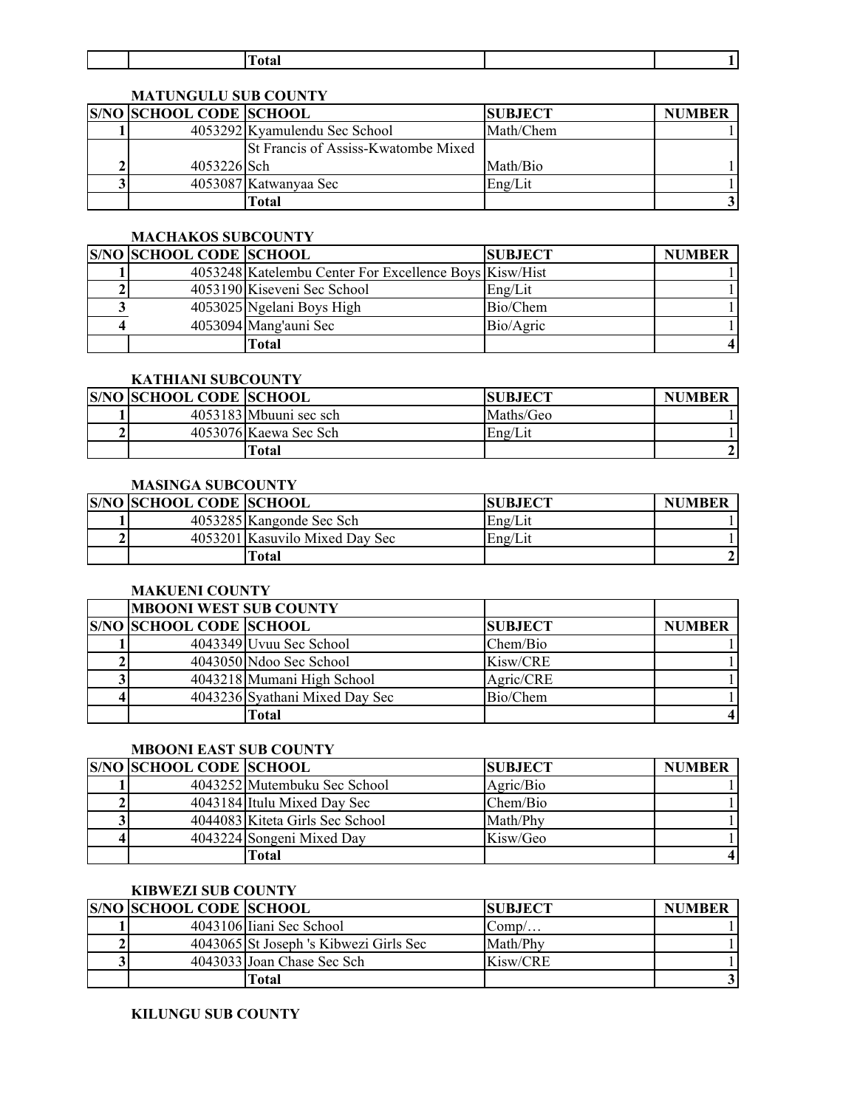|  | $\sim$ 4 $\sim$<br>าเล |  |
|--|------------------------|--|
|  |                        |  |

# **MATUNGULU SUB COUNTY**

| <b>S/NO SCHOOL CODE SCHOOL</b> |                                     | <b>SUBJECT</b> | <b>NUMBER</b> |
|--------------------------------|-------------------------------------|----------------|---------------|
|                                | 4053292 Kyamulendu Sec School       | Math/Chem      |               |
|                                | St Francis of Assiss-Kwatombe Mixed |                |               |
| 4053226 Sch                    |                                     | Math/Bio       |               |
|                                | 4053087 Katwanyaa Sec               | Eng/Lit        |               |
|                                | <b>Total</b>                        |                |               |

# **MACHAKOS SUBCOUNTY**

| <b>S/NO SCHOOL CODE SCHOOL</b> |                                                        | <b>SUBJECT</b> | <b>NUMBER</b> |
|--------------------------------|--------------------------------------------------------|----------------|---------------|
|                                | 4053248 Katelembu Center For Excellence Boys Kisw/Hist |                |               |
|                                | 4053190 Kiseveni Sec School                            | Eng/Lit        |               |
|                                | 4053025 Ngelani Boys High                              | Bio/Chem       |               |
|                                | 4053094 Mang'auni Sec                                  | Bio/Agric      |               |
|                                | Total                                                  |                |               |

### **KATHIANI SUBCOUNTY**

| <b>S/NO SCHOOL CODE SCHOOL</b> |                        | <b>SUBJECT</b> | <b>NUMBER</b> |
|--------------------------------|------------------------|----------------|---------------|
|                                | 4053183 Mbuuni sec sch | Maths/Geo      |               |
|                                | 4053076 Kaewa Sec Sch  | Eng/Lit        |               |
|                                | Γotal                  |                |               |

## **MASINGA SUBCOUNTY**

| <b>S/NO SCHOOL CODE SCHOOL</b> |                                | <b>SUBJECT</b> | <b>NUMBER</b> |
|--------------------------------|--------------------------------|----------------|---------------|
|                                | 4053285 Kangonde Sec Sch       | Eng/Lit        |               |
|                                | 4053201 Kasuvilo Mixed Day Sec | Eng/Lit        |               |
|                                | [otal                          |                |               |

#### **MAKUENI COUNTY**

| <b>MBOONI WEST SUB COUNTY</b>  |                                |                |               |
|--------------------------------|--------------------------------|----------------|---------------|
| <b>S/NO SCHOOL CODE SCHOOL</b> |                                | <b>SUBJECT</b> | <b>NUMBER</b> |
|                                | 4043349 Uvuu Sec School        | Chem/Bio       |               |
|                                | 4043050 Ndoo Sec School        | Kisw/CRE       |               |
|                                | 4043218 Mumani High School     | Agric/CRE      |               |
|                                | 4043236 Syathani Mixed Day Sec | Bio/Chem       |               |
|                                | Total                          |                |               |

# **MBOONI EAST SUB COUNTY**

| <b>S/NO SCHOOL CODE SCHOOL</b> |                                 | <b>SUBJECT</b> | <b>NUMBER</b> |
|--------------------------------|---------------------------------|----------------|---------------|
|                                | 4043252 Mutembuku Sec School    | Agric/Bio      |               |
|                                | 4043184 Itulu Mixed Day Sec     | Chem/Bio       |               |
|                                | 4044083 Kiteta Girls Sec School | Math/Phy       |               |
|                                | 4043224 Songeni Mixed Day       | Kisw/Geo       |               |
|                                | Fotal                           |                |               |

#### **KIBWEZI SUB COUNTY**

| <b>S/NO SCHOOL CODE SCHOOL</b> |                                        | <b>SUBJECT</b> | <b>NUMBER</b> |
|--------------------------------|----------------------------------------|----------------|---------------|
|                                | 4043106 Iiani Sec School               | $Comp/$        |               |
|                                | 4043065 St Joseph 's Kibwezi Girls Sec | Math/Phy       |               |
|                                | 4043033 Joan Chase Sec Sch             | Kisw/CRE       |               |
|                                | Total                                  |                |               |

#### **KILUNGU SUB COUNTY**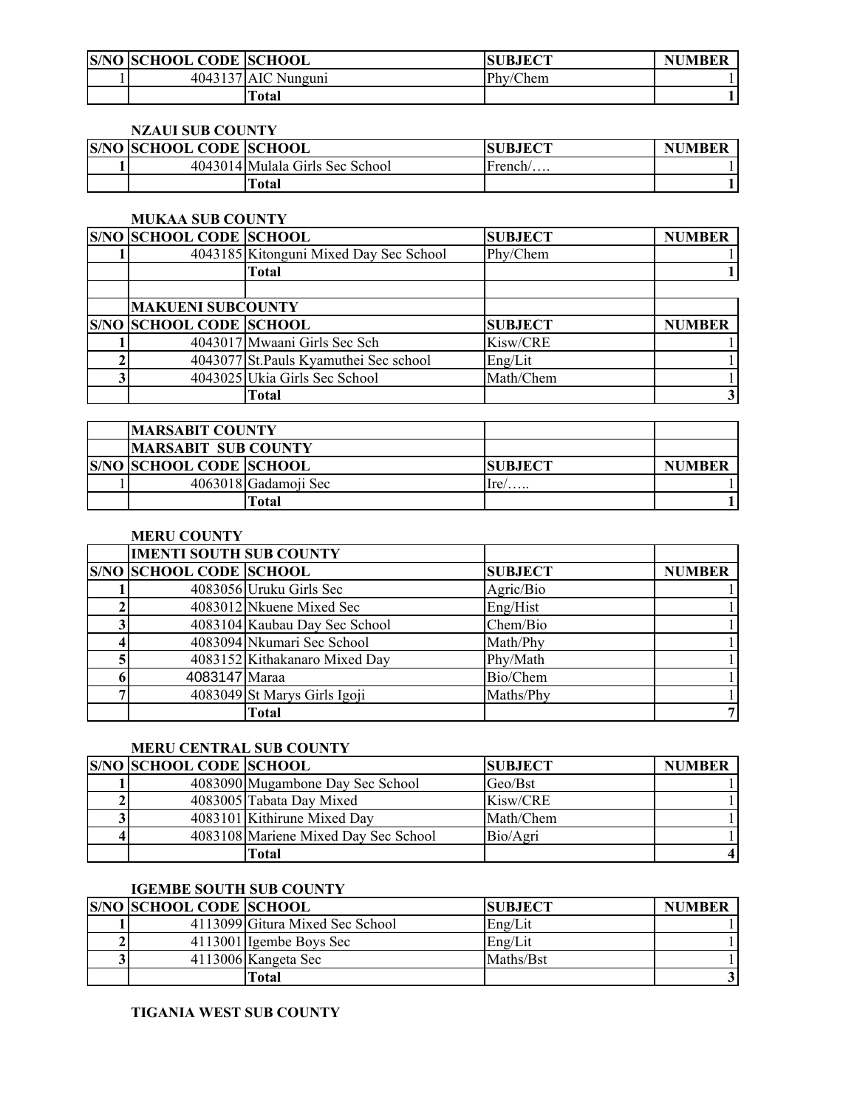| <b>S/NO SCHOOL CODE SCHOOL</b> |                     | <b>SUBJECT</b> | <b>JMBER</b><br>NI |
|--------------------------------|---------------------|----------------|--------------------|
|                                | 4043137 AIC Nunguni | Phy/Chem       |                    |
|                                | Total               |                |                    |

# **NZAUI SUB COUNTY**

| <b>S/NO SCHOOL CODE SCHOOL</b> |                                 | <b>SUBJECT</b> | <b>NUMBER</b> |
|--------------------------------|---------------------------------|----------------|---------------|
|                                | 4043014 Mulala Girls Sec School | $r$ rench $/$  |               |
|                                | ∏otal                           |                |               |

#### **MUKAA SUB COUNTY**

| <b>S/NO SCHOOL CODE SCHOOL</b> |                                        | <b>SUBJECT</b> | <b>NUMBER</b> |
|--------------------------------|----------------------------------------|----------------|---------------|
|                                | 4043185 Kitonguni Mixed Day Sec School | Phy/Chem       |               |
|                                | Total                                  |                |               |
|                                |                                        |                |               |
| <b>MAKUENI SUBCOUNTY</b>       |                                        |                |               |
| <b>S/NO SCHOOL CODE SCHOOL</b> |                                        | <b>SUBJECT</b> | <b>NUMBER</b> |
|                                | 4043017 Mwaani Girls Sec Sch           | Kisw/CRE       |               |
|                                | 4043077 St. Pauls Kyamuthei Sec school | Eng/Lit        |               |
|                                | 4043025 Ukia Girls Sec School          | Math/Chem      |               |
|                                | Total                                  |                |               |

|                                | <b>MARSABIT COUNTY</b> |                 |               |
|--------------------------------|------------------------|-----------------|---------------|
| <b>MARSABIT SUB COUNTY</b>     |                        |                 |               |
| <b>S/NO SCHOOL CODE SCHOOL</b> |                        | <b>ISUBJECT</b> | <b>NUMBER</b> |
|                                | 4063018 Gadamoji Sec   | $Ire/$          |               |
|                                | Total                  |                 |               |

## **MERU COUNTY**

|   | <b>IMENTI SOUTH SUB COUNTY</b> |                               |                |               |
|---|--------------------------------|-------------------------------|----------------|---------------|
|   | <b>S/NO SCHOOL CODE SCHOOL</b> |                               | <b>SUBJECT</b> | <b>NUMBER</b> |
|   |                                | 4083056 Uruku Girls Sec       | Agric/Bio      |               |
|   |                                | 4083012 Nkuene Mixed Sec      | Eng/Hist       |               |
| 3 |                                | 4083104 Kaubau Day Sec School | Chem/Bio       |               |
|   |                                | 4083094 Nkumari Sec School    | Math/Phy       |               |
|   |                                | 4083152 Kithakanaro Mixed Day | Phy/Math       |               |
|   | 4083147 Maraa                  |                               | Bio/Chem       |               |
|   |                                | 4083049 St Marys Girls Igoji  | Maths/Phy      |               |
|   |                                | Total                         |                |               |

# **MERU CENTRAL SUB COUNTY**

| <b>S/NO SCHOOL CODE SCHOOL</b> |                                      | <b>SUBJECT</b> | <b>NUMBER</b> |
|--------------------------------|--------------------------------------|----------------|---------------|
|                                | 4083090 Mugambone Day Sec School     | Geo/Bst        |               |
|                                | 4083005 Tabata Day Mixed             | Kisw/CRE       |               |
|                                | 4083101 Kithirune Mixed Day          | Math/Chem      |               |
|                                | 4083108 Mariene Mixed Day Sec School | Bio/Agri       |               |
|                                | Гоtal                                |                |               |

# **IGEMBE SOUTH SUB COUNTY**

| <b>S/NO SCHOOL CODE SCHOOL</b> |                                 | <b>SUBJECT</b> | <b>NUMBER</b> |
|--------------------------------|---------------------------------|----------------|---------------|
|                                | 4113099 Gitura Mixed Sec School | Eng/Lit        |               |
|                                | 4113001 Igembe Boys Sec         | Eng/Lit        |               |
|                                | 4113006 Kangeta Sec             | Maths/Bst      |               |
|                                | Total                           |                |               |

#### **TIGANIA WEST SUB COUNTY**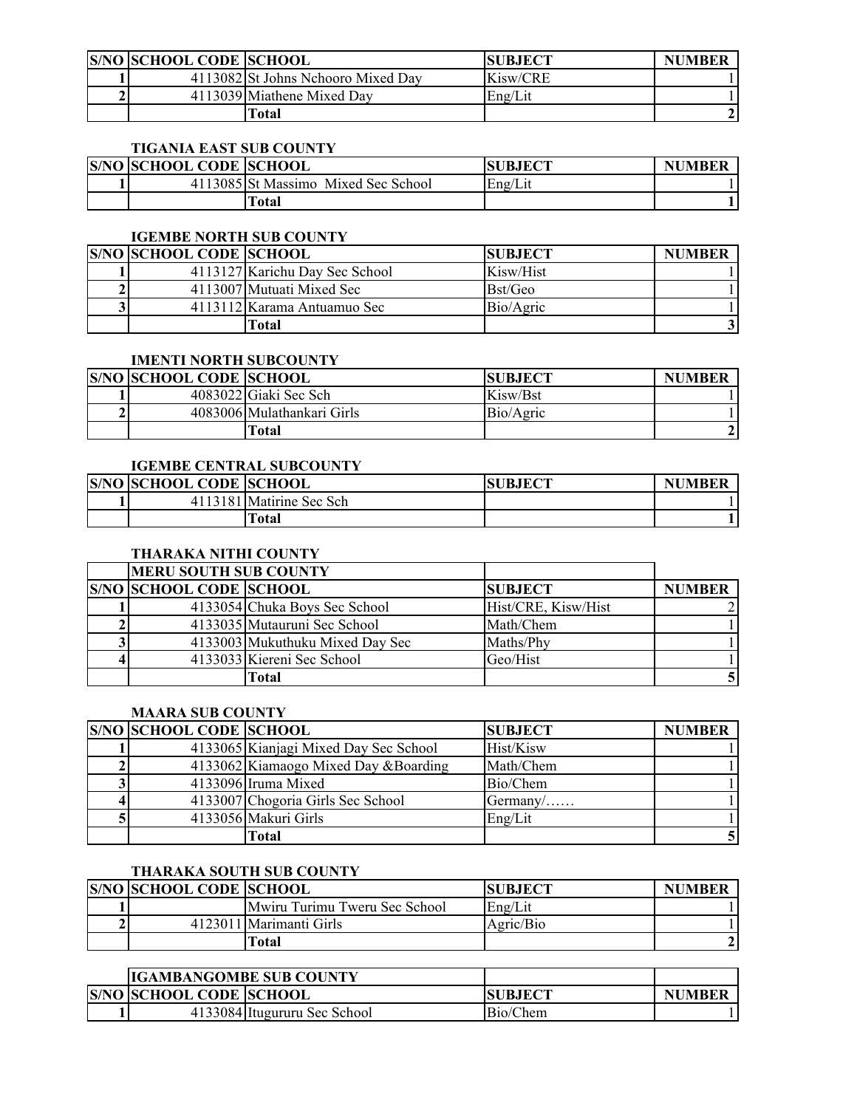| <b>S/NO SCHOOL CODE SCHOOL</b> |                                    | <b>SUBJECT</b> | <b>NUMBER</b> |
|--------------------------------|------------------------------------|----------------|---------------|
|                                | 4113082 St Johns Nchooro Mixed Day | Kisw/CRE       |               |
|                                | 4113039 Miathene Mixed Day         | Eng/Lit        |               |
|                                | Γotal                              |                |               |

# **TIGANIA EAST SUB COUNTY**

| <b>S/NO SCHOOL CODE SCHOOL</b> |                                     | <b>ISUBJECT</b> | <b>NUMBER</b> |
|--------------------------------|-------------------------------------|-----------------|---------------|
|                                | 4113085 St Massimo Mixed Sec School | Eng/Lit         |               |
|                                | Total                               |                 |               |

# **IGEMBE NORTH SUB COUNTY**

| <b>S/NO SCHOOL CODE SCHOOL</b> |                                | <b>SUBJECT</b> | <b>NUMBER</b> |
|--------------------------------|--------------------------------|----------------|---------------|
|                                | 4113127 Karichu Day Sec School | Kisw/Hist      |               |
|                                | 4113007 Mutuati Mixed Sec      | Bst/Geo        |               |
|                                | 4113112 Karama Antuamuo Sec    | Bio/Agric      |               |
|                                | [otal                          |                |               |

#### **IMENTI NORTH SUBCOUNTY**

| <b>S/NO SCHOOL CODE SCHOOL</b> |                            | <b>SUBJECT</b> | <b>NUMBER</b> |
|--------------------------------|----------------------------|----------------|---------------|
|                                | 4083022 Giaki Sec Sch      | Kisw/Bst       |               |
|                                | 4083006 Mulathankari Girls | Bio/Agric      |               |
|                                | [otal                      |                |               |

# **IGEMBE CENTRAL SUBCOUNTY**

| <b>S/NO SCHOOL CODE SCHOOL</b> |                          | <b>SUBJECT</b> | <b>NUMBER</b> |
|--------------------------------|--------------------------|----------------|---------------|
|                                | 4113181 Matirine Sec Sch |                |               |
|                                | `otal                    |                |               |

# **THARAKA NITHI COUNTY**

| <b>MERU SOUTH SUB COUNTY</b>   |                                 |                     |               |
|--------------------------------|---------------------------------|---------------------|---------------|
| <b>S/NO SCHOOL CODE SCHOOL</b> |                                 | <b>SUBJECT</b>      | <b>NUMBER</b> |
|                                | 4133054 Chuka Boys Sec School   | Hist/CRE, Kisw/Hist |               |
|                                | 4133035 Mutauruni Sec School    | Math/Chem           |               |
|                                | 4133003 Mukuthuku Mixed Day Sec | Maths/Phy           |               |
|                                | 4133033 Kiereni Sec School      | Geo/Hist            |               |
|                                | Гоtal                           |                     |               |

### **MAARA SUB COUNTY**

| <b>S/NO SCHOOL CODE SCHOOL</b> |                                       | <b>SUBJECT</b> | <b>NUMBER</b> |
|--------------------------------|---------------------------------------|----------------|---------------|
|                                | 4133065 Kianjagi Mixed Day Sec School | Hist/Kisw      |               |
|                                | 4133062 Kiamaogo Mixed Day & Boarding | Math/Chem      |               |
|                                | 4133096 Iruma Mixed                   | Bio/Chem       |               |
|                                | 4133007 Chogoria Girls Sec School     | $Germanv/$     |               |
|                                | 4133056 Makuri Girls                  | Eng/Lit        |               |
|                                | Total                                 |                |               |

# **THARAKA SOUTH SUB COUNTY**

| <b>S/NO SCHOOL CODE SCHOOL</b> |                               | <b>SUBJECT</b> | <b>NUMBER</b> |
|--------------------------------|-------------------------------|----------------|---------------|
|                                | Mwiru Turimu Tweru Sec School | Eng/Lit        |               |
|                                | 4123011 Marimanti Girls       | Agric/Bio      |               |
|                                | [otal                         |                |               |

| <b>IIGAMBANGOMBE SUB COUNTY</b> |                              |                |               |
|---------------------------------|------------------------------|----------------|---------------|
| <b>S/NO SCHOOL CODE SCHOOL</b>  |                              | <b>SUBJECT</b> | <b>NUMBER</b> |
|                                 | 4133084 Itugururu Sec School | Bio/Chem       |               |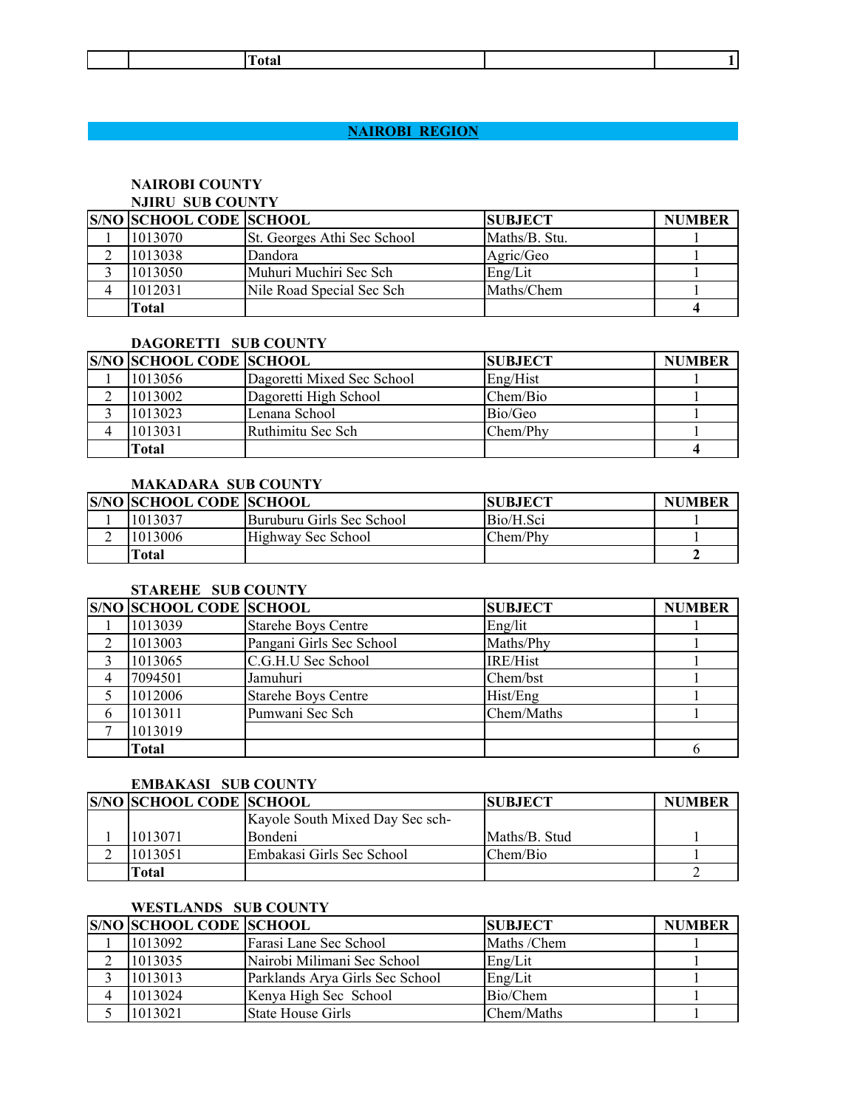|  | otal |  |
|--|------|--|
|  |      |  |

# **NAIROBI REGION NAIROBI REGION**

### **NAIROBI COUNTY NJIRU SUB COUNTY**

| <b>S/NO SCHOOL CODE SCHOOL</b> |                             | <b>SUBJECT</b> | <b>NUMBER</b> |
|--------------------------------|-----------------------------|----------------|---------------|
| 1013070                        | St. Georges Athi Sec School | Maths/B. Stu.  |               |
| 1013038                        | Dandora                     | Agric/Geo      |               |
| 1013050                        | Muhuri Muchiri Sec Sch      | Eng/Lit        |               |
| 1012031                        | Nile Road Special Sec Sch   | Maths/Chem     |               |
| Total                          |                             |                |               |

### **DAGORETTI SUB COUNTY**

| <b>S/NO SCHOOL CODE SCHOOL</b> |                            | <b>SUBJECT</b> | <b>NUMBER</b> |
|--------------------------------|----------------------------|----------------|---------------|
| 1013056                        | Dagoretti Mixed Sec School | Eng/Hist       |               |
| 1013002                        | Dagoretti High School      | Chem/Bio       |               |
| 1013023                        | Lenana School              | Bio/Geo        |               |
| 1013031                        | Ruthimitu Sec Sch          | Chem/Phy       |               |
| Total                          |                            |                |               |

### **MAKADARA SUB COUNTY**

| <b>S/NO SCHOOL CODE SCHOOL</b> |                           | <b>ISUBJECT</b> | <b>NUMBER</b> |
|--------------------------------|---------------------------|-----------------|---------------|
| 1013037                        | Buruburu Girls Sec School | Bio/H.Sci       |               |
| 1013006                        | Highway Sec School        | Chem/Phy        |               |
| Total                          |                           |                 |               |

#### **STAREHE SUB COUNTY**

|   | <b>S/NO SCHOOL CODE SCHOOL</b> |                            | <b>SUBJECT</b>  | <b>NUMBER</b> |
|---|--------------------------------|----------------------------|-----------------|---------------|
|   | 1013039                        | <b>Starehe Boys Centre</b> | Eng/lit         |               |
|   | 1013003                        | Pangani Girls Sec School   | Maths/Phy       |               |
|   | 1013065                        | C.G.H.U Sec School         | <b>IRE/Hist</b> |               |
|   | 7094501                        | Jamuhuri                   | Chem/bst        |               |
|   | 1012006                        | <b>Starehe Boys Centre</b> | Hist/Eng        |               |
| O | 1013011                        | Pumwani Sec Sch            | Chem/Maths      |               |
|   | 1013019                        |                            |                 |               |
|   | Total                          |                            |                 |               |

### **EMBAKASI SUB COUNTY**

| <b>S/NO SCHOOL CODE SCHOOL</b> |                                 | <b>SUBJECT</b> | <b>NUMBER</b> |
|--------------------------------|---------------------------------|----------------|---------------|
|                                | Kayole South Mixed Day Sec sch- |                |               |
| 1013071                        | <b>Bondeni</b>                  | Maths/B. Stud  |               |
| 1013051                        | Embakasi Girls Sec School       | Chem/Bio       |               |
| Total                          |                                 |                |               |

# **WESTLANDS SUB COUNTY**

| <b>S/NO SCHOOL CODE SCHOOL</b> |                                 | <b>SUBJECT</b> | <b>NUMBER</b> |
|--------------------------------|---------------------------------|----------------|---------------|
| 1013092                        | Farasi Lane Sec School          | Maths /Chem    |               |
| 1013035                        | Nairobi Milimani Sec School     | Eng/Lit        |               |
| 1013013                        | Parklands Arya Girls Sec School | Eng/Lit        |               |
| 1013024                        | Kenya High Sec School           | Bio/Chem       |               |
| 1013021                        | State House Girls               | Chem/Maths     |               |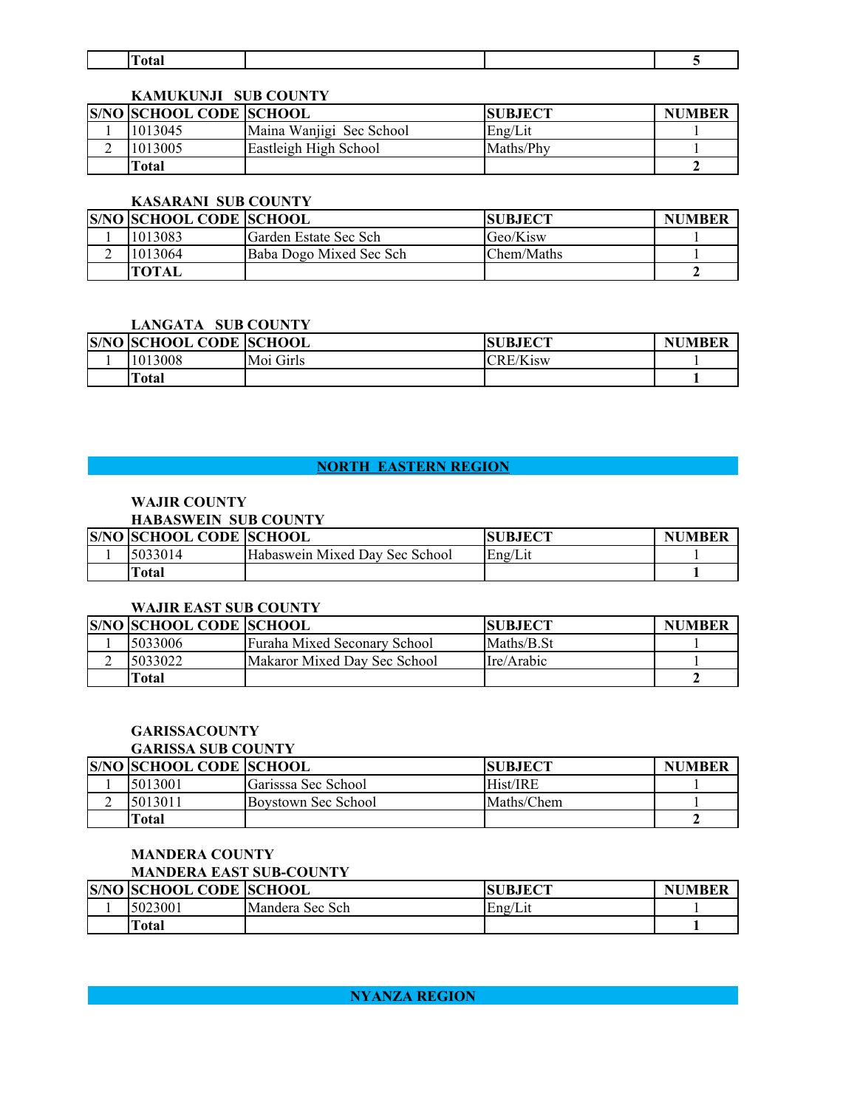| . .<br>$-$ |  |  |
|------------|--|--|

# **KAMUKUNJI SUB COUNTY**

| <b>S/NO SCHOOL CODE SCHOOL</b> |                          | <b>ISUBJECT</b> | <b>NUMBER</b> |
|--------------------------------|--------------------------|-----------------|---------------|
| 1013045                        | Maina Wanjigi Sec School | Eng/Lit         |               |
| 1013005                        | Eastleigh High School    | Maths/Phy       |               |
| Total                          |                          |                 |               |

# **KASARANI SUB COUNTY**

|   | <b>S/NO SCHOOL CODE SCHOOL</b> |                         | <b>ISUBJECT</b> | <b>NUMBER</b> |
|---|--------------------------------|-------------------------|-----------------|---------------|
|   | 1013083                        | lGarden Estate Sec Sch  | Geo/Kisw        |               |
| ∸ | 1013064                        | Baba Dogo Mixed Sec Sch | Chem/Maths      |               |
|   | <b>TOTAL</b>                   |                         |                 |               |

# **LANGATA SUB COUNTY**

| <b>S/NO SCHOOL CODE SCHOOL</b> |           | <b>SUBJECT</b>  | <b>NUMBER</b> |
|--------------------------------|-----------|-----------------|---------------|
| 1013008                        | Moi Girls | <b>CRE/Kisw</b> |               |
| <b>Total</b>                   |           |                 |               |

# **NORTH EASTERN REGION**

#### **WAJIR COUNTY HABASWEIN SUB COUNTY**

| HADASWEIN SUB COUNTT           |                                |                |               |
|--------------------------------|--------------------------------|----------------|---------------|
| <b>S/NO SCHOOL CODE SCHOOL</b> |                                | <b>SUBJECT</b> | <b>NUMBER</b> |
| 5033014                        | Habaswein Mixed Day Sec School | Eng/Lit        |               |
| ™otal                          |                                |                |               |

## **WAJIR EAST SUB COUNTY**

| <b>S/NO SCHOOL CODE SCHOOL</b> |                              | <b>SUBJECT</b> | <b>NUMBER</b> |
|--------------------------------|------------------------------|----------------|---------------|
| 5033006                        | Furaha Mixed Seconary School | Maths/B.St     |               |
| 5033022                        | Makaror Mixed Day Sec School | Ire/Arabic     |               |
| Total                          |                              |                |               |

# **GARISSACOUNTY**

# **GARISSA SUB COUNTY**

| <b>S/NO SCHOOL CODE SCHOOL</b> |                     | <b>SUBJECT</b> | <b>NUMBER</b> |
|--------------------------------|---------------------|----------------|---------------|
| 5013001                        | Garisssa Sec School | Hist/IRE       |               |
| 5013011                        | Boystown Sec School | Maths/Chem     |               |
| Total                          |                     |                |               |

# **MANDERA COUNTY**

**MANDERA EAST SUB-COUNTY**

| <b>S/NO SCHOOL CODE SCHOOL</b> |                 | <b>SUBJECT</b> | <b>NUMBER</b> |
|--------------------------------|-----------------|----------------|---------------|
| 5023001                        | Mandera Sec Sch | Eng/Lit        |               |
| <b>Total</b>                   |                 |                |               |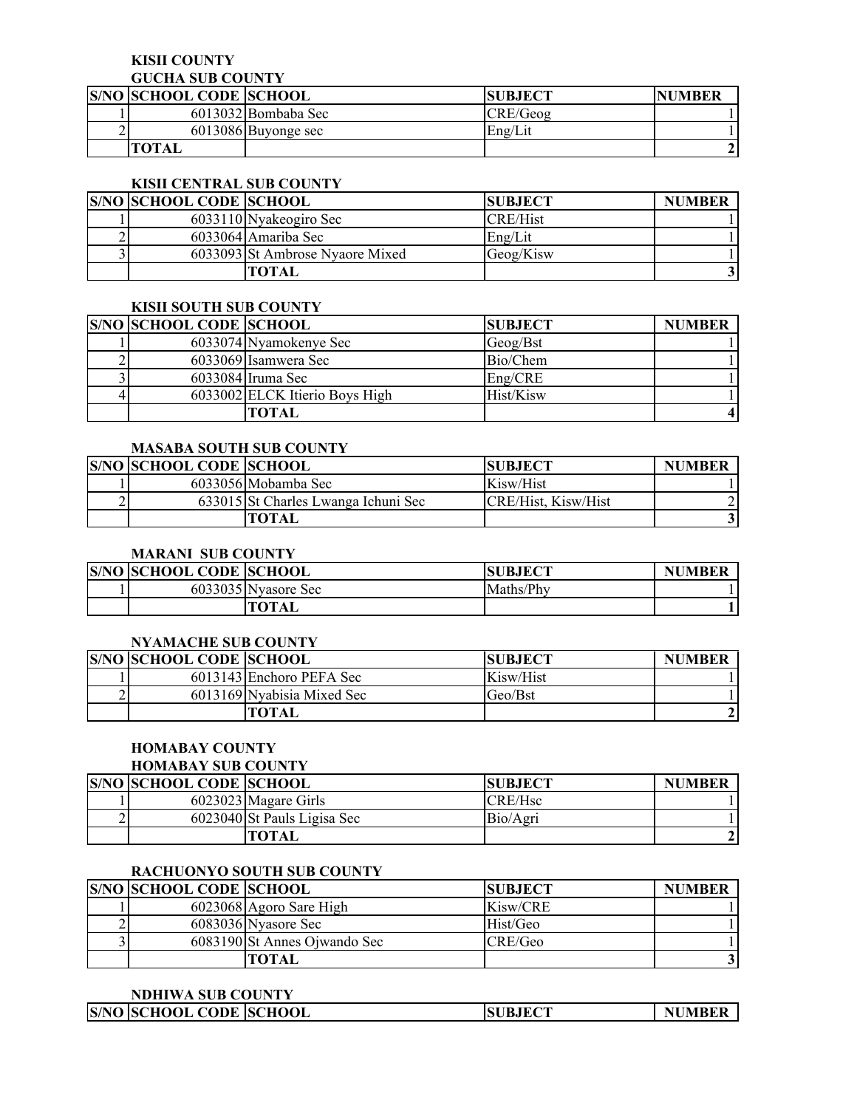#### **KISII COUNTY**

### **GUCHA SUB COUNTY**

| <b>S/NO SCHOOL CODE SCHOOL</b> |                       | <b>SUBJECT</b> | <b>NUMBER</b> |
|--------------------------------|-----------------------|----------------|---------------|
|                                | 6013032 Bombaba Sec   | CRE/Geog       |               |
|                                | $6013086$ Buyonge sec | Eng/Lit        |               |
| <b>TOTAL</b>                   |                       |                |               |

# **KISII CENTRAL SUB COUNTY**

| <b>S/NO SCHOOL CODE SCHOOL</b> |                                 | <b>SUBJECT</b>  | <b>NUMBER</b> |
|--------------------------------|---------------------------------|-----------------|---------------|
|                                | 6033110 Nyakeogiro Sec          | <b>CRE/Hist</b> |               |
|                                | 6033064 Amariba Sec             | Eng/Lit         |               |
|                                | 6033093 St Ambrose Nyaore Mixed | Geog/Kisw       |               |
|                                | <b>TOTAL</b>                    |                 |               |

#### **KISII SOUTH SUB COUNTY**

| <b>S/NO SCHOOL CODE SCHOOL</b> |                                | <b>SUBJECT</b> | <b>NUMBER</b> |
|--------------------------------|--------------------------------|----------------|---------------|
|                                | 6033074 Nyamokenye Sec         | Geog/Bst       |               |
|                                | 6033069 Isamwera Sec           | Bio/Chem       |               |
|                                | $6033084$ Iruma Sec            | Eng/CRE        |               |
|                                | 6033002 ELCK Itierio Boys High | Hist/Kisw      |               |
|                                | TOTAL                          |                |               |

## **MASABA SOUTH SUB COUNTY**

| <b>S/NO SCHOOL CODE SCHOOL</b> |                                     | <b>SUBJECT</b>      | <b>NUMBER</b> |
|--------------------------------|-------------------------------------|---------------------|---------------|
|                                | 6033056 Mobamba Sec                 | Kisw/Hist           |               |
|                                | 633015 St Charles Lwanga Ichuni Sec | CRE/Hist, Kisw/Hist |               |
|                                | TOTAL                               |                     |               |

# **MARANI SUB COUNTY**

| <b>S/NO SCHOOL CODE SCHOOL</b> |                     | <b>SUBJECT</b> | <b>NUMBER</b> |
|--------------------------------|---------------------|----------------|---------------|
|                                | 6033035 Nyasore Sec | Maths/Phy      |               |
|                                | <b>TOTAL</b>        |                |               |

## **NYAMACHE SUB COUNTY**

| <b>S/NO SCHOOL CODE SCHOOL</b> |                            | <b>SUBJECT</b> | <b>NUMBER</b> |
|--------------------------------|----------------------------|----------------|---------------|
|                                | 6013143 Enchoro PEFA Sec   | Kisw/Hist      |               |
|                                | 6013169 Nyabisia Mixed Sec | Geo/Bst        |               |
|                                | TOTAL                      |                |               |

# **HOMABAY COUNTY**

#### **HOMABAY SUB COUNTY**

| <b>S/NO SCHOOL CODE SCHOOL</b> |                             | <b>SUBJECT</b>      | <b>NUMBER</b> |
|--------------------------------|-----------------------------|---------------------|---------------|
|                                | 6023023 Magare Girls        | CRE/H <sub>sc</sub> |               |
|                                | 6023040 St Pauls Ligisa Sec | Bio/Agri            |               |
|                                | <b>TOTAL</b>                |                     |               |

# **RACHUONYO SOUTH SUB COUNTY**

| <b>S/NO SCHOOL CODE SCHOOL</b> |                              | <b>SUBJECT</b> | <b>NUMBER</b> |
|--------------------------------|------------------------------|----------------|---------------|
|                                | 6023068 Agoro Sare High      | Kisw/CRE       |               |
|                                | 6083036 Nyasore Sec          | Hist/Geo       |               |
|                                | 6083190 St Annes Ojwando Sec | CRE/Geo        |               |
|                                | <b>TOTAL</b>                 |                |               |

#### **NDHIWA SUB COUNTY**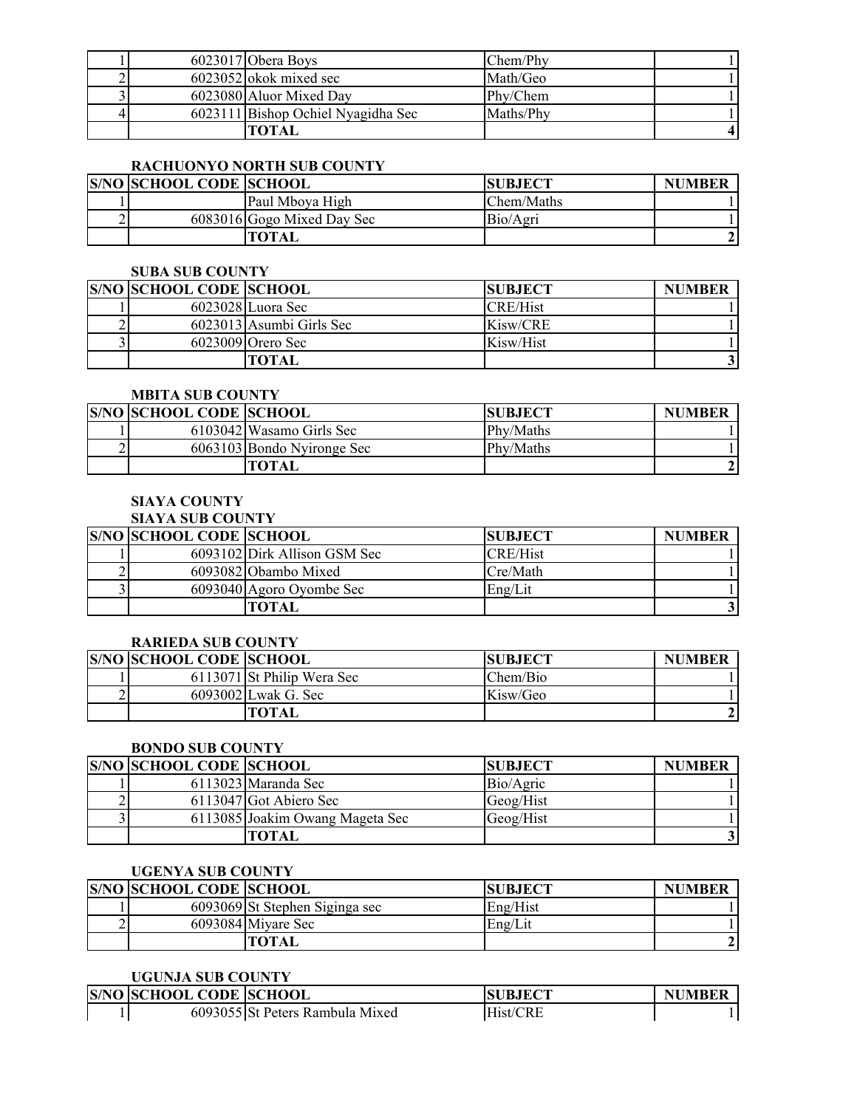|  | 6023017 Obera Boys                 | Chem/Phv  |  |
|--|------------------------------------|-----------|--|
|  | $6023052$ okok mixed sec           | Math/Geo  |  |
|  | 6023080 Aluor Mixed Day            | Phy/Chem  |  |
|  | 6023111 Bishop Ochiel Nyagidha Sec | Maths/Phy |  |
|  | ГОТАІ                              |           |  |

# **RACHUONYO NORTH SUB COUNTY**

| <b>S/NO SCHOOL CODE SCHOOL</b> |                            | <b>SUBJECT</b> | <b>NUMBER</b> |
|--------------------------------|----------------------------|----------------|---------------|
|                                | Paul Mboya High            | Chem/Maths     |               |
|                                | 6083016 Gogo Mixed Day Sec | Bio/Agri       |               |
|                                | <b>TOTAL</b>               |                |               |

# **SUBA SUB COUNTY**

| <b>S/NO SCHOOL CODE SCHOOL</b> |                          | <b>SUBJECT</b>  | <b>NUMBER</b> |
|--------------------------------|--------------------------|-----------------|---------------|
|                                | $6023028$ Luora Sec      | <b>CRE/Hist</b> |               |
|                                | 6023013 Asumbi Girls Sec | Kisw/CRE        |               |
|                                | $6023009$ Orero Sec      | Kisw/Hist       |               |
|                                | TOTAL                    |                 |               |

#### **MBITA SUB COUNTY**

| <b>S/NO SCHOOL CODE SCHOOL</b> |                            | <b>SUBJECT</b> | <b>NUMBER</b> |
|--------------------------------|----------------------------|----------------|---------------|
|                                | 6103042 Wasamo Girls Sec   | Phy/Maths      |               |
|                                | 6063103 Bondo Nyironge Sec | Phy/Maths      |               |
|                                | TOTAL                      |                |               |

# **SIAYA COUNTY**

# **SIAYA SUB COUNTY**

| <b>S/NO SCHOOL CODE SCHOOL</b> |                              | <b>SUBJECT</b>  | <b>NUMBER</b> |
|--------------------------------|------------------------------|-----------------|---------------|
|                                | 6093102 Dirk Allison GSM Sec | <b>CRE/Hist</b> |               |
|                                | 6093082 Obambo Mixed         | Cre/Math        |               |
|                                | 6093040 Agoro Oyombe Sec     | Eng/Lit         |               |
|                                | <b>TOTAL</b>                 |                 |               |

## **RARIEDA SUB COUNTY**

| <b>S/NO SCHOOL CODE SCHOOL</b> |                            | <b>ISUBJECT</b> | <b>NUMBER</b> |
|--------------------------------|----------------------------|-----------------|---------------|
|                                | 6113071 St Philip Wera Sec | Chem/Bio        |               |
|                                | 6093002 Lwak G. Sec        | Kisw/Geo        |               |
|                                | TOTAL                      |                 |               |

# **BONDO SUB COUNTY**

| <b>S/NO SCHOOL CODE SCHOOL</b> |                                 | <b>ISUBJECT</b> | <b>NUMBER</b> |
|--------------------------------|---------------------------------|-----------------|---------------|
|                                | 6113023 Maranda Sec             | Bio/Agric       |               |
|                                | 6113047 Got Abiero Sec          | Geog/Hist       |               |
|                                | 6113085 Joakim Owang Mageta Sec | Geog/Hist       |               |
|                                | <b>TOTAL</b>                    |                 |               |

# **UGENYA SUB COUNTY**

| <b>S/NO SCHOOL CODE SCHOOL</b> |                                | <b>SUBJECT</b> | <b>NUMBER</b> |
|--------------------------------|--------------------------------|----------------|---------------|
|                                | 6093069 St Stephen Siginga sec | Eng/Hist       |               |
|                                | 6093084 Miyare Sec             | Eng/Lit        |               |
|                                | TOTAL                          |                |               |

# **UGUNJA SUB COUNTY**

| <b>S/NO SCHOOL CODE SCHOOL</b> |                                 | <b>ISUBJECT</b> | <b>NUMBER</b> |
|--------------------------------|---------------------------------|-----------------|---------------|
|                                | 6093055 St Peters Rambula Mixed | Hist/CRE        |               |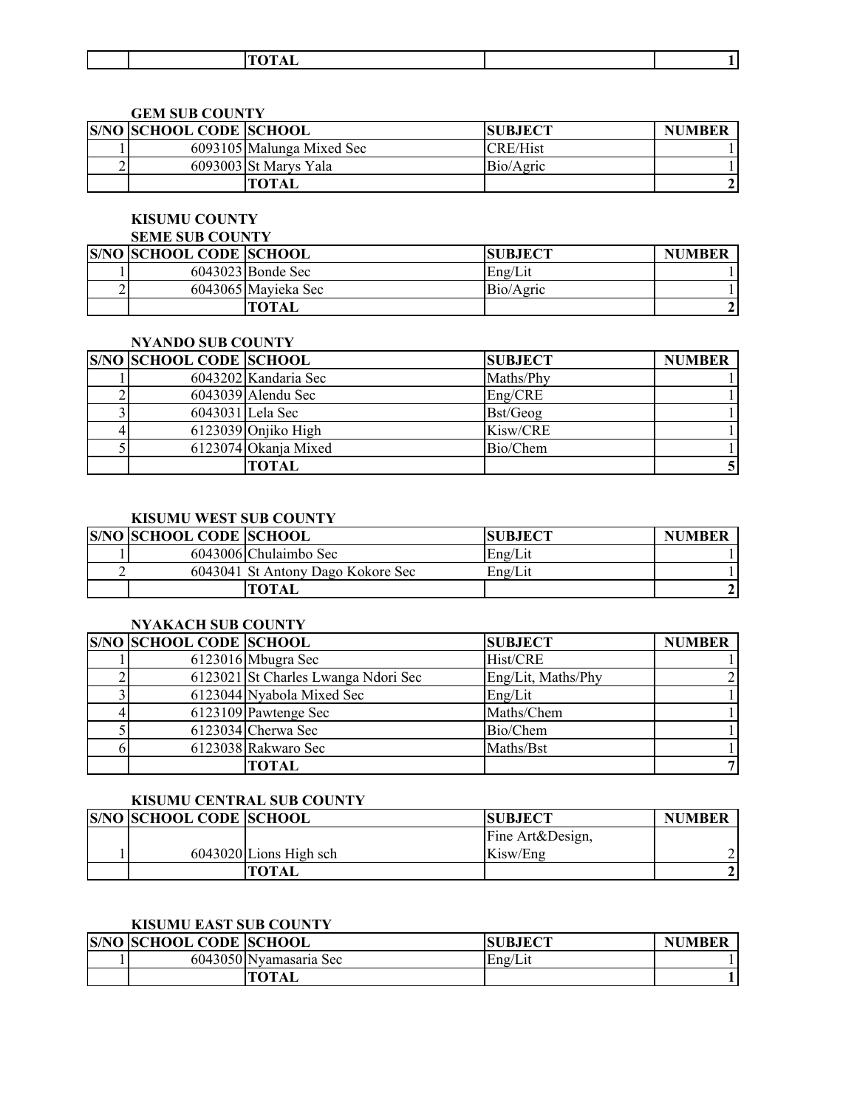|  |  |  | ----<br>- |  |  |
|--|--|--|-----------|--|--|
|--|--|--|-----------|--|--|

#### **GEM SUB COUNTY**

| <b>S/NO SCHOOL CODE SCHOOL</b> |                           | <b>SUBJECT</b>  | <b>NUMBER</b> |
|--------------------------------|---------------------------|-----------------|---------------|
|                                | 6093105 Malunga Mixed Sec | <b>CRE/Hist</b> |               |
|                                | 6093003 St Marys Yala     | Bio/Agric       |               |
|                                | TOTAL                     |                 |               |

## **KISUMU COUNTY**

#### **SEME SUB COUNTY**

| <b>S/NO SCHOOL CODE SCHOOL</b> |                     | <b>SUBJECT</b> | <b>NUMBER</b> |
|--------------------------------|---------------------|----------------|---------------|
|                                | 6043023 Bonde Sec   | Eng/Lit        |               |
|                                | 6043065 Mayieka Sec | Bio/Agric      |               |
|                                | <b>TOTAL</b>        |                |               |

### **NYANDO SUB COUNTY**

| <b>S/NO SCHOOL CODE SCHOOL</b> |                       | <b>SUBJECT</b> | <b>NUMBER</b> |
|--------------------------------|-----------------------|----------------|---------------|
|                                | 6043202 Kandaria Sec  | Maths/Phy      |               |
|                                | $6043039$ Alendu Sec  | Eng/CRE        |               |
|                                | 6043031 Lela Sec      | Bst/Geog       |               |
|                                | $6123039$ Onjiko High | Kisw/CRE       |               |
|                                | 6123074 Okanja Mixed  | Bio/Chem       |               |
|                                | TOTAL                 |                |               |

## **KISUMU WEST SUB COUNTY**

| <b>S/NO SCHOOL CODE SCHOOL</b> |                                   | <b>SUBJECT</b> | <b>NUMBER</b> |
|--------------------------------|-----------------------------------|----------------|---------------|
|                                | 6043006 Chulaimbo Sec             | Eng/Lit        |               |
|                                | 6043041 St Antony Dago Kokore Sec | Eng/Lit        |               |
|                                | TOTAL                             |                |               |

# **NYAKACH SUB COUNTY**

| <b>S/NO SCHOOL CODE SCHOOL</b> |                                     | <b>SUBJECT</b>     | <b>NUMBER</b> |
|--------------------------------|-------------------------------------|--------------------|---------------|
|                                | $6123016$ Mbugra Sec                | Hist/CRE           |               |
|                                | 6123021 St Charles Lwanga Ndori Sec | Eng/Lit, Maths/Phy |               |
|                                | 6123044 Nyabola Mixed Sec           | Eng/Lit            |               |
|                                | 6123109 Pawtenge Sec                | Maths/Chem         |               |
|                                | 6123034 Cherwa Sec                  | Bio/Chem           |               |
|                                | 6123038 Rakwaro Sec                 | Maths/Bst          |               |
|                                | TOTAL                               |                    |               |

# **KISUMU CENTRAL SUB COUNTY**

| <b>S/NO SCHOOL CODE SCHOOL</b> |                          | <b>SUBJECT</b>   | <b>NUMBER</b> |
|--------------------------------|--------------------------|------------------|---------------|
|                                |                          | Fine Art&Design, |               |
|                                | $6043020$ Lions High sch | Kisw/Eng         |               |
|                                | TOTAL                    |                  |               |

# **KISUMU EAST SUB COUNTY**

| <b>S/NO SCHOOL CODE SCHOOL</b> |                        | <b>SUBJECT</b> | <b>NUMBER</b> |
|--------------------------------|------------------------|----------------|---------------|
|                                | 6043050 Nyamasaria Sec | Eng/Lit        |               |
|                                | <b>TOTAL</b>           |                |               |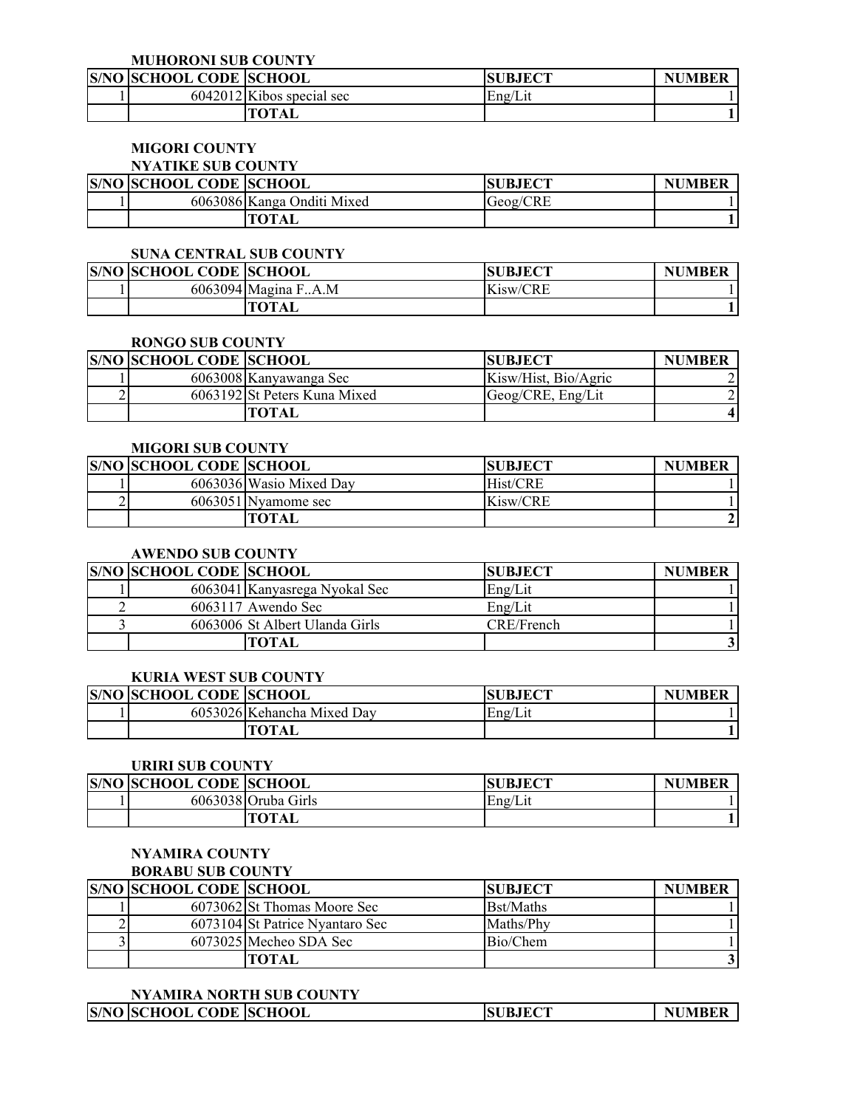**MUHORONI SUB COUNTY**

| <b>S/NO SCHOOL CODE SCHOOL</b> |                             | <b>SUBJECT</b> | <b>NUMBER</b> |
|--------------------------------|-----------------------------|----------------|---------------|
|                                | $6042012$ Kibos special sec | Eng/Lit        |               |
|                                | TOTAL                       |                |               |

# **MIGORI COUNTY**

# **NYATIKE SUB COUNTY**

| <b>S/NO SCHOOL CODE SCHOOL</b> |                            | <b>ISUBJECT</b> | <b>NUMBER</b> |
|--------------------------------|----------------------------|-----------------|---------------|
|                                | 6063086 Kanga Onditi Mixed | Geog/CRE        |               |
|                                | <b>TOTAL</b>               |                 |               |

### **SUNA CENTRAL SUB COUNTY**

| <b>S/NO SCHOOL CODE SCHOOL</b> |                     | JBJECT<br>SU | <b>NUMBER</b> |
|--------------------------------|---------------------|--------------|---------------|
|                                | 6063094 Magina FA.M | Kisw/CRE     |               |
|                                | TOTAL               |              |               |

# **RONGO SUB COUNTY**

| <b>S/NO SCHOOL CODE SCHOOL</b> |                              | <b>ISUBJECT</b>      | <b>NUMBER</b> |
|--------------------------------|------------------------------|----------------------|---------------|
|                                | 6063008 Kanyawanga Sec       | Kisw/Hist, Bio/Agric |               |
|                                | 6063192 St Peters Kuna Mixed | Geog/CRE, Eng/Lit    |               |
|                                | TOTAL                        |                      |               |

# **MIGORI SUB COUNTY**

| <b>S/NO SCHOOL CODE SCHOOL</b> |                         | <b>SUBJECT</b> | <b>NUMBER</b> |
|--------------------------------|-------------------------|----------------|---------------|
|                                | 6063036 Wasio Mixed Day | Hist/CRE       |               |
|                                | 6063051 Nyamome sec     | Kisw/CRE       |               |
|                                | TOTAL                   |                |               |

# **AWENDO SUB COUNTY**

| <b>S/NO SCHOOL CODE SCHOOL</b> |                                | <b>SUBJECT</b> | <b>NUMBER</b> |
|--------------------------------|--------------------------------|----------------|---------------|
|                                | 6063041 Kanyasrega Nyokal Sec  | Eng/Lit        |               |
|                                | $6063117$ Awendo Sec           | Eng/Lit        |               |
|                                | 6063006 St Albert Ulanda Girls | CRE/French     |               |
|                                | TOTAL                          |                |               |

#### **KURIA WEST SUB COUNTY**

|  | <b>S/NO SCHOOL CODE SCHOOL</b> |                            | <b>SUBJECT</b> | <b>NUMBER</b> |
|--|--------------------------------|----------------------------|----------------|---------------|
|  |                                | 6053026 Kehancha Mixed Day | Eng/L1         |               |
|  |                                | <b>TOTAL</b>               |                |               |

#### **URIRI SUB COUNTY**

| <b>S/NO SCHOOL CODE SCHOOL</b> |                     | <b>SUBJECT</b> | <b>NUMBER</b> |
|--------------------------------|---------------------|----------------|---------------|
|                                | 6063038 Oruba Girls | Eng/Lit        |               |
|                                | <b>TOTAL</b>        |                |               |

# **NYAMIRA COUNTY**

# **BORABU SUB COUNTY**

| <b>S/NO SCHOOL CODE SCHOOL</b> |                                 | <b>ISUBJECT</b>  | <b>NUMBER</b> |
|--------------------------------|---------------------------------|------------------|---------------|
|                                | 6073062 St Thomas Moore Sec     | <b>Bst/Maths</b> |               |
|                                | 6073104 St Patrice Nyantaro Sec | Maths/Phy        |               |
|                                | 6073025 Mecheo SDA Sec          | Bio/Chem         |               |
|                                | <b>TOTAL</b>                    |                  |               |

### **NYAMIRA NORTH SUB COUNTY**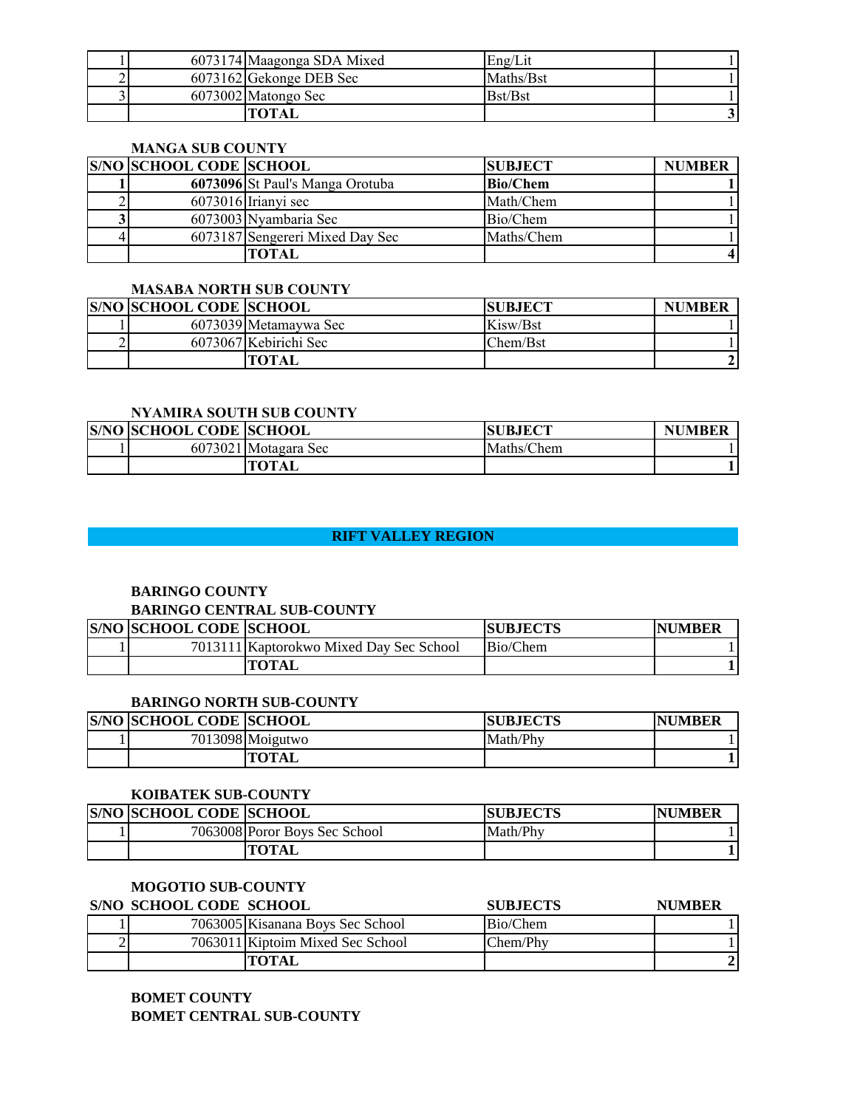|  | 6073174 Maagonga SDA Mixed | Eng/Lit   |  |
|--|----------------------------|-----------|--|
|  | 6073162 Gekonge DEB Sec    | Maths/Bst |  |
|  | 6073002 Matongo Sec        | Bst/Bst   |  |
|  | TOTAI                      |           |  |

### **MANGA SUB COUNTY**

| <b>S/NO SCHOOL CODE SCHOOL</b> |                                 | <b>SUBJECT</b>  | <b>NUMBER</b> |
|--------------------------------|---------------------------------|-----------------|---------------|
|                                | 6073096 St Paul's Manga Orotuba | <b>Bio/Chem</b> |               |
|                                | $6073016$ Irianyi sec           | Math/Chem       |               |
|                                | 6073003 Nyambaria Sec           | Bio/Chem        |               |
|                                | 6073187 Sengereri Mixed Day Sec | Maths/Chem      |               |
|                                | TOTAL                           |                 |               |

#### **MASABA NORTH SUB COUNTY**

| <b>S/NO SCHOOL CODE SCHOOL</b> |                       | <b>SUBJECT</b> | <b>NUMBER</b> |
|--------------------------------|-----------------------|----------------|---------------|
|                                | 6073039 Metamaywa Sec | Kisw/Bst       |               |
|                                | 6073067 Kebirichi Sec | Chem/Bst       |               |
|                                | <b>TOTAL</b>          |                |               |

#### **NYAMIRA SOUTH SUB COUNTY**

| <b>S/NO SCHOOL CODE SCHOOL</b> |                      | <b>SUBJECT</b> | <b>NUMBER</b> |
|--------------------------------|----------------------|----------------|---------------|
|                                | 6073021 Motagara Sec | Maths/Chem     |               |
|                                | TOTAL                |                |               |

# **RIFT VALLEY REGION AND REGION CONSUMING THE REGION CONSUMING THE REGION CONSUMING THE REGION**

# **BARINGO COUNTY**

# **BARINGO CENTRAL SUB-COUNTY**

| <b>S/NO SCHOOL CODE SCHOOL</b> |                                         | <b>SUBJECTS</b> | <b>NUMBER</b> |
|--------------------------------|-----------------------------------------|-----------------|---------------|
|                                | 7013111 Kaptorokwo Mixed Day Sec School | Bio/Chem        |               |
|                                | TOTAL                                   |                 |               |

#### **BARINGO NORTH SUB-COUNTY**

| <b>IS/NO ISCHOOL CODE ISCHOOL</b> |                  | <b>SUBJECTS</b> | <b>NUMBER</b> |
|-----------------------------------|------------------|-----------------|---------------|
|                                   | 7013098 Moigutwo | Math/Phy        |               |
|                                   | <b>TOTAL</b>     |                 |               |

#### **KOIBATEK SUB-COUNTY**

| <b>S/NO SCHOOL CODE SCHOOL</b> |                               | <b>SUBJECTS</b> | <b>NUMBER</b> |
|--------------------------------|-------------------------------|-----------------|---------------|
|                                | 7063008 Poror Boys Sec School | Math/Phy        |               |
|                                | <b>"OTAL</b>                  |                 |               |

# **MOGOTIO SUB-COUNTY**

| S/NO SCHOOL CODE SCHOOL |                                  | <b>SUBJECTS</b> | <b>NUMBER</b> |
|-------------------------|----------------------------------|-----------------|---------------|
|                         | 7063005 Kisanana Boys Sec School | Bio/Chem        |               |
|                         | 7063011 Kiptoim Mixed Sec School | Chem/Phy        |               |
|                         | <b>TOTAL</b>                     |                 |               |

# **BOMET COUNTY BOMET CENTRAL SUB-COUNTY**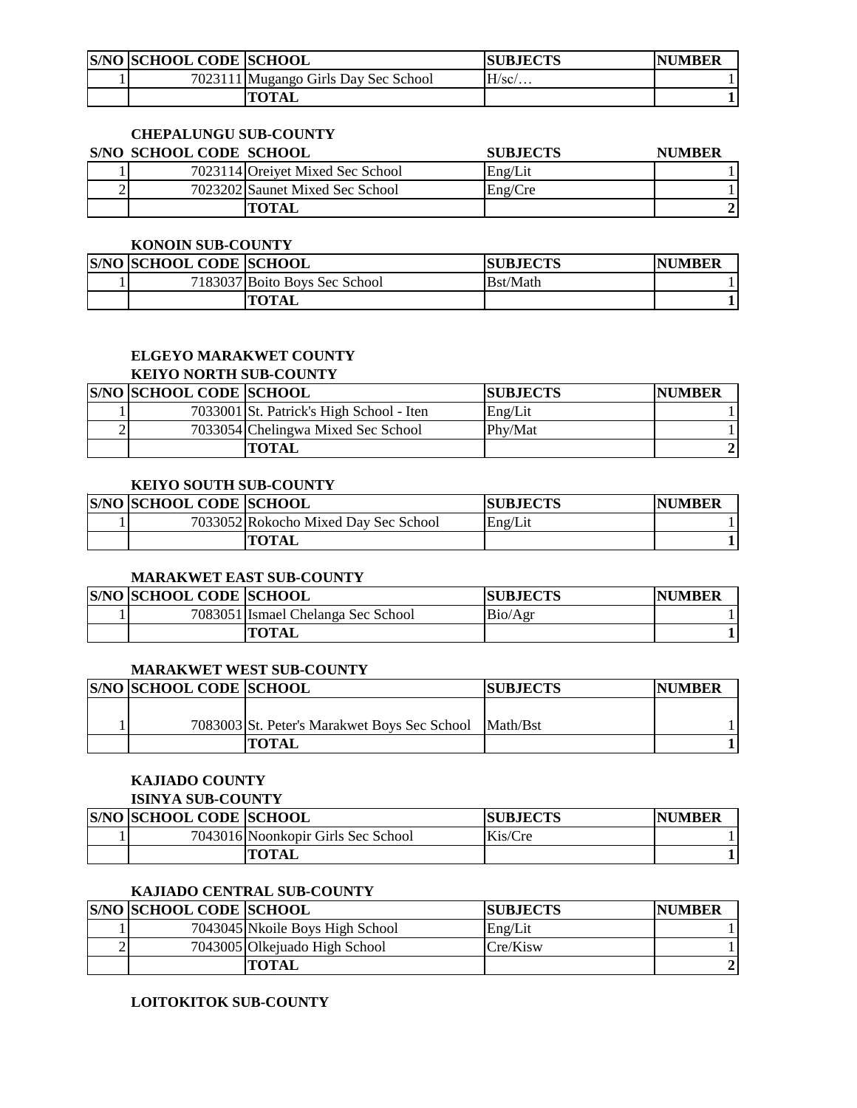| <b>S/NO SCHOOL CODE SCHOOL</b> |                                      | <b>ISUBJECTS</b> | <b>NUMBER</b> |
|--------------------------------|--------------------------------------|------------------|---------------|
|                                | 7023111 Mugango Girls Day Sec School | H/sc/            |               |
|                                | TOTAL                                |                  |               |

# **CHEPALUNGU SUB-COUNTY**

| <b>S/NO SCHOOL CODE SCHOOL</b> |                                  | <b>SUBJECTS</b> | <b>NUMBER</b> |
|--------------------------------|----------------------------------|-----------------|---------------|
|                                | 7023114 Oreivet Mixed Sec School | Eng/Lit         |               |
|                                | 7023202 Saunet Mixed Sec School  | Eng/Cre         |               |
|                                | TOTAL                            |                 |               |

#### **KONOIN SUB-COUNTY**

| <b>S/NO SCHOOL CODE SCHOOL</b> |                               | <b>ISUBJECTS</b> | <b>NUMBER</b> |
|--------------------------------|-------------------------------|------------------|---------------|
|                                | 7183037 Boito Boys Sec School | Bst/Math         |               |
|                                | TOTAL                         |                  |               |

#### **ELGEYO MARAKWET COUNTY KEIYO NORTH SUB-COUNTY**

| <b>S/NO SCHOOL CODE SCHOOL</b> |                                          | <b>SUBJECTS</b> | <b>NUMBER</b> |
|--------------------------------|------------------------------------------|-----------------|---------------|
|                                | 7033001 St. Patrick's High School - Iten | Eng/Lit         |               |
|                                | 7033054 Chelingwa Mixed Sec School       | Phy/Mat         |               |
|                                | <b>TOTAL</b>                             |                 |               |

### **KEIYO SOUTH SUB-COUNTY**

| <b>S/NO SCHOOL CODE SCHOOL</b> |                                      | <b>SUBJECTS</b> | <b>NUMBER</b> |
|--------------------------------|--------------------------------------|-----------------|---------------|
|                                | 7033052 Rokocho Mixed Day Sec School | Eng/Lit         |               |
|                                | TOTAL                                |                 |               |

### **MARAKWET EAST SUB-COUNTY**

| <b>S/NO SCHOOL CODE SCHOOL</b> |                                    | <b>SUBJECTS</b> | <b>INUMBER</b> |
|--------------------------------|------------------------------------|-----------------|----------------|
|                                | 7083051 Ismael Chelanga Sec School | Bio/Agr         |                |
|                                | TOTAL                              |                 |                |

### **MARAKWET WEST SUB-COUNTY**

| <b>S/NO SCHOOL CODE SCHOOL</b> |                                                       | <b>SUBJECTS</b> | <b>NUMBER</b> |
|--------------------------------|-------------------------------------------------------|-----------------|---------------|
|                                |                                                       |                 |               |
|                                | 7083003 St. Peter's Marakwet Boys Sec School Math/Bst |                 |               |
|                                | <b>TOTAL</b>                                          |                 |               |

# **KAJIADO COUNTY**

| <b>ISINYA SUB-COUNTY</b> |  |  |
|--------------------------|--|--|
|                          |  |  |

| <b>S/NO SCHOOL CODE SCHOOL</b> |                                    | <b>SUBJECTS</b> | <b>NUMBER</b> |
|--------------------------------|------------------------------------|-----------------|---------------|
|                                | 7043016 Noonkopir Girls Sec School | Kis/Cre         |               |
|                                | TOTAL                              |                 |               |

# **KAJIADO CENTRAL SUB-COUNTY**

| <b>S/NO SCHOOL CODE SCHOOL</b> |                                 | <b>ISUBJECTS</b> | <b>NUMBER</b> |
|--------------------------------|---------------------------------|------------------|---------------|
|                                | 7043045 Nkoile Boys High School | Eng/Lit          |               |
|                                | 7043005 Olkejuado High School   | Cre/Kisw         |               |
|                                | <b>TOTAL</b>                    |                  |               |

# **LOITOKITOK SUB-COUNTY**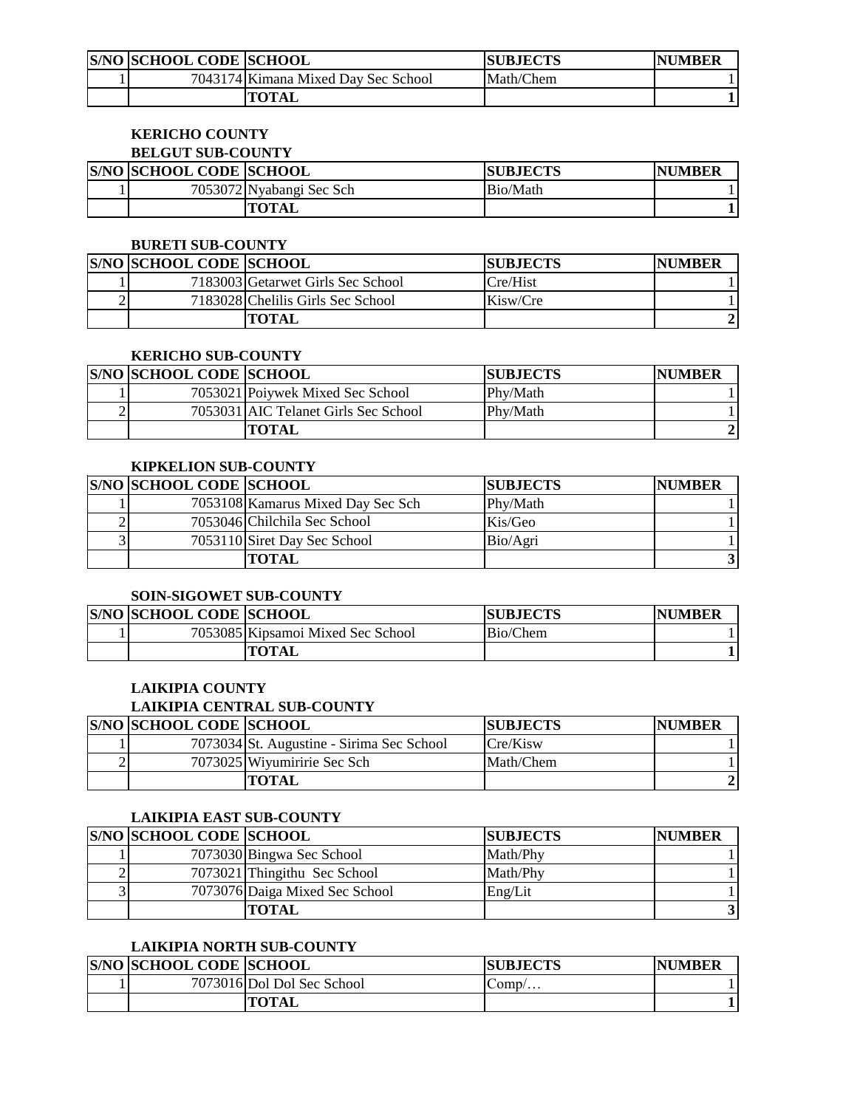| <b>S/NO SCHOOL CODE SCHOOL</b> |                                     | <b>SUBJECTS</b> | <b>NUMBER</b> |
|--------------------------------|-------------------------------------|-----------------|---------------|
|                                | 7043174 Kimana Mixed Day Sec School | Math/Chem       |               |
|                                | <b>TOTAL</b>                        |                 |               |

#### **KERICHO COUNTY BELGUT SUB-COUNTY**

| -----------------              |                          |                 |                |  |
|--------------------------------|--------------------------|-----------------|----------------|--|
| <b>S/NO SCHOOL CODE SCHOOL</b> |                          | <b>SUBJECTS</b> | <b>INUMBER</b> |  |
|                                | 7053072 Nyabangi Sec Sch | Bio/Math        |                |  |
|                                | TOTAL                    |                 |                |  |

#### **BURETI SUB-COUNTY**

|   | <b>S/NO SCHOOL CODE SCHOOL</b> |                                   | <b>SUBJECTS</b> | <b>NUMBER</b> |
|---|--------------------------------|-----------------------------------|-----------------|---------------|
|   |                                | 7183003 Getarwet Girls Sec School | Cre/Hist        |               |
| ∼ |                                | 7183028 Chelilis Girls Sec School | Kisw/Cre        |               |
|   |                                | TOTAL                             |                 |               |

# **KERICHO SUB-COUNTY**

|   | <b>S/NO SCHOOL CODE SCHOOL</b> |                                      | <b>SUBJECTS</b> | <b>NUMBER</b> |
|---|--------------------------------|--------------------------------------|-----------------|---------------|
|   |                                | 7053021 Poivwek Mixed Sec School     | Phy/Math        |               |
| - |                                | 7053031 AIC Telanet Girls Sec School | Phy/Math        |               |
|   |                                | TOTAL                                |                 |               |

# **KIPKELION SUB-COUNTY**

| <b>S/NO SCHOOL CODE SCHOOL</b> |                                   | <b>SUBJECTS</b> | <b>NUMBER</b> |
|--------------------------------|-----------------------------------|-----------------|---------------|
|                                | 7053108 Kamarus Mixed Day Sec Sch | Phy/Math        |               |
|                                | 7053046 Chilchila Sec School      | Kis/Geo         |               |
|                                | 7053110 Siret Day Sec School      | Bio/Agri        |               |
|                                | TOTAL                             |                 |               |

### **SOIN-SIGOWET SUB-COUNTY**

| <b>S/NO SCHOOL CODE SCHOOL</b> |                                   | <b>SUBJECTS</b> | <b>NUMBER</b> |
|--------------------------------|-----------------------------------|-----------------|---------------|
|                                | 7053085 Kipsamoi Mixed Sec School | Bio/Chem        |               |
|                                | <b>TOTAL</b>                      |                 |               |

# **LAIKIPIA COUNTY**

#### **LAIKIPIA CENTRAL SUB-COUNTY**

| <b>S/NO SCHOOL CODE SCHOOL</b> |                                           | <b>ISUBJECTS</b> | <b>NUMBER</b> |
|--------------------------------|-------------------------------------------|------------------|---------------|
|                                | 7073034 St. Augustine - Sirima Sec School | Cre/Kisw         |               |
|                                | 7073025 Wiyumiririe Sec Sch               | Math/Chem        |               |
|                                | TOTAL                                     |                  |               |

### **LAIKIPIA EAST SUB-COUNTY**

| <b>S/NO SCHOOL CODE SCHOOL</b> |                                | <b>SUBJECTS</b> | <b>NUMBER</b> |
|--------------------------------|--------------------------------|-----------------|---------------|
|                                | 7073030 Bingwa Sec School      | Math/Phy        |               |
|                                | 7073021 Thingithu Sec School   | Math/Phy        |               |
|                                | 7073076 Daiga Mixed Sec School | Eng/Lit         |               |
|                                | <b>TOTAL</b>                   |                 |               |

# **LAIKIPIA NORTH SUB-COUNTY**

| <b>S/NO SCHOOL CODE SCHOOL</b> |                           | <b>SUBJECTS</b> | <b>NUMBER</b> |
|--------------------------------|---------------------------|-----------------|---------------|
|                                | 7073016Dol Dol Sec School | $Comp/$         |               |
|                                | TOTAL                     |                 |               |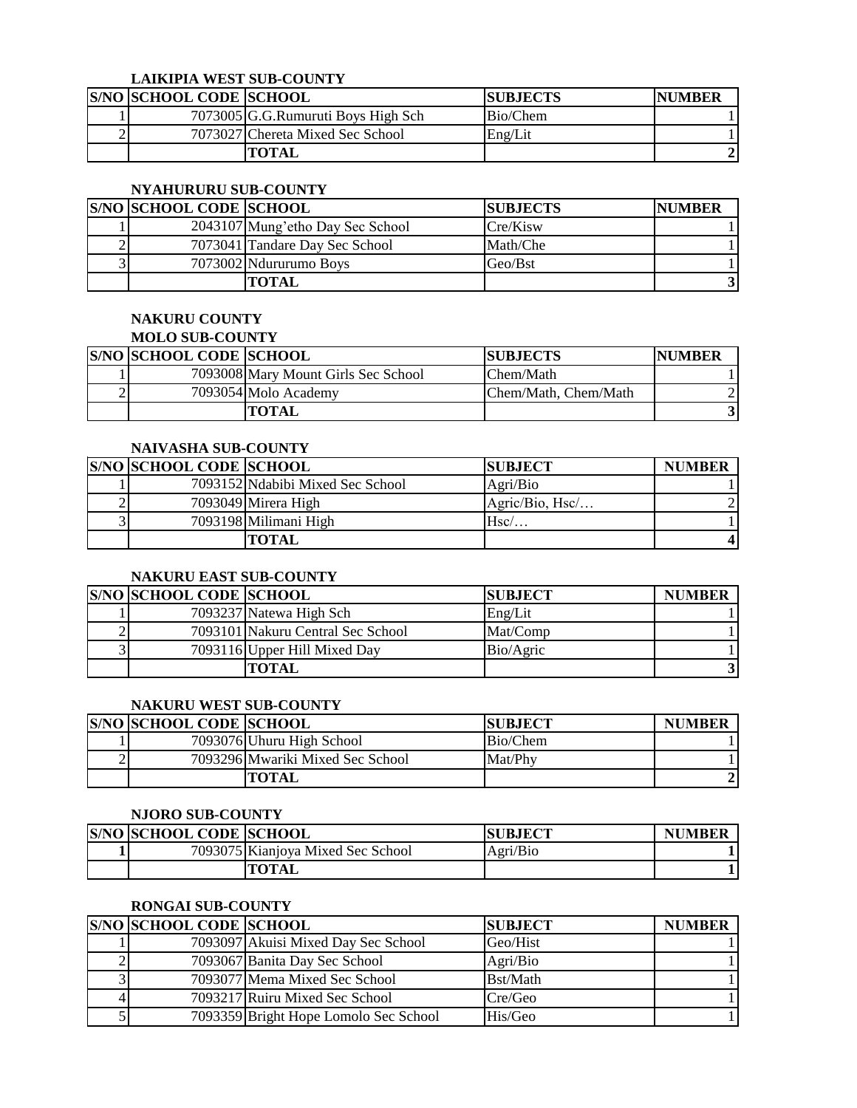# **LAIKIPIA WEST SUB-COUNTY**

|   | <b>S/NO SCHOOL CODE SCHOOL</b> |                                    | <b>SUBJECTS</b> | <b>NUMBER</b> |
|---|--------------------------------|------------------------------------|-----------------|---------------|
|   |                                | 7073005 G.G.Rumuruti Boys High Sch | Bio/Chem        |               |
| ∸ |                                | 7073027 Chereta Mixed Sec School   | Eng/Lit         |               |
|   |                                | <b>TOTAL</b>                       |                 |               |

#### **NYAHURURU SUB-COUNTY**

| <b>S/NO SCHOOL CODE SCHOOL</b> |                                  | <b>SUBJECTS</b> | <b>NUMBER</b> |
|--------------------------------|----------------------------------|-----------------|---------------|
|                                | 2043107 Mung'etho Day Sec School | Cre/Kisw        |               |
|                                | 7073041 Tandare Day Sec School   | Math/Che        |               |
|                                | 7073002 Ndururumo Boys           | Geo/Bst         |               |
|                                | <b>TOTAL</b>                     |                 |               |

#### **NAKURU COUNTY MOLO SUB-COUNTY**

| MULU SUD-UUUN I 1              |                                     |                      |               |  |
|--------------------------------|-------------------------------------|----------------------|---------------|--|
| <b>S/NO SCHOOL CODE SCHOOL</b> |                                     | <b>ISUBJECTS</b>     | <b>NUMBER</b> |  |
|                                | 7093008 Mary Mount Girls Sec School | Chem/Math            |               |  |
|                                | 7093054 Molo Academy                | Chem/Math, Chem/Math |               |  |
|                                | <b>TOTAL</b>                        |                      |               |  |

# **NAIVASHA SUB-COUNTY**

| <b>S/NO SCHOOL CODE SCHOOL</b> |                                  | <b>ISUBJECT</b> | <b>NUMBER</b> |
|--------------------------------|----------------------------------|-----------------|---------------|
|                                | 7093152 Ndabibi Mixed Sec School | Agri/Bio        |               |
|                                | 7093049 Mirera High              | Agric/Bio, Hsc/ |               |
|                                | 7093198 Milimani High            | Hsc/            |               |
|                                | TOTAL                            |                 |               |

# **NAKURU EAST SUB-COUNTY**

| <b>S/NO SCHOOL CODE SCHOOL</b> |                                   | <b>SUBJECT</b> | <b>NUMBER</b> |
|--------------------------------|-----------------------------------|----------------|---------------|
|                                | 7093237 Natewa High Sch           | Eng/Lit        |               |
|                                | 7093101 Nakuru Central Sec School | Mat/Comp       |               |
|                                | 7093116 Upper Hill Mixed Day      | Bio/Agric      |               |
|                                | <b>TOTAL</b>                      |                |               |

#### **NAKURU WEST SUB-COUNTY**

| <b>S/NO SCHOOL CODE SCHOOL</b> |                                  | <b>SUBJECT</b> | <b>NUMBER</b> |
|--------------------------------|----------------------------------|----------------|---------------|
|                                | 7093076 Uhuru High School        | Bio/Chem       |               |
|                                | 7093296 Mwariki Mixed Sec School | Mat/Phy        |               |
|                                | TOTAL                            |                |               |

#### **NJORO SUB-COUNTY**

| <b>S/NO SCHOOL CODE SCHOOL</b> |                                   | <b>SUBJECT</b> | <b>NUMBER</b> |
|--------------------------------|-----------------------------------|----------------|---------------|
|                                | 7093075 Kianiova Mixed Sec School | Agri/Bio       |               |
|                                | TOTAL                             |                |               |

# **RONGAI SUB-COUNTY**

| <b>S/NO SCHOOL CODE SCHOOL</b> |                                       | <b>SUBJECT</b> | <b>NUMBER</b> |
|--------------------------------|---------------------------------------|----------------|---------------|
|                                | 7093097 Akuisi Mixed Day Sec School   | Geo/Hist       |               |
|                                | 7093067 Banita Day Sec School         | Agri/Bio       |               |
|                                | 7093077 Mema Mixed Sec School         | Bst/Math       |               |
|                                | 7093217 Ruiru Mixed Sec School        | Cre/Geo        |               |
|                                | 7093359 Bright Hope Lomolo Sec School | His/Geo        |               |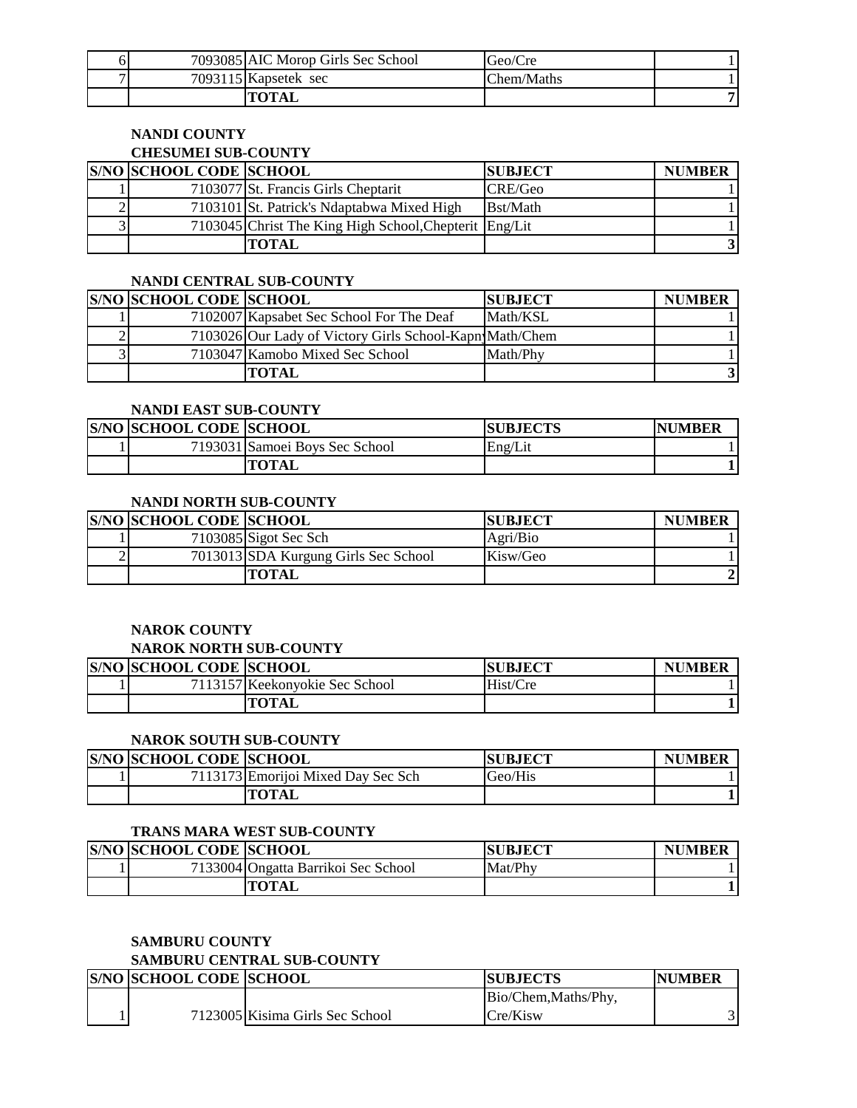|   | 7093085 AIC Morop Girls Sec School | Geo/Cre    |  |
|---|------------------------------------|------------|--|
| – | 7093115 Kapsetek sec               | Chem/Maths |  |
|   | <b>"OTAL</b>                       |            |  |

# **NANDI COUNTY CHESUMEI SUB-COUNTY**

| <b>S/NO SCHOOL CODE SCHOOL</b> |                                                        | <b>SUBJECT</b> | <b>NUMBER</b> |
|--------------------------------|--------------------------------------------------------|----------------|---------------|
|                                | 7103077 St. Francis Girls Cheptarit                    | CRE/Geo        |               |
|                                | 7103101 St. Patrick's Ndaptabwa Mixed High             | Bst/Math       |               |
|                                | 7103045 Christ The King High School, Chepterit Eng/Lit |                |               |
|                                | <b>TOTAL</b>                                           |                |               |

# **NANDI CENTRAL SUB-COUNTY**

|                | <b>S/NO SCHOOL CODE SCHOOL</b> |                                                         | <b>SUBJECT</b> | <b>NUMBER</b> |
|----------------|--------------------------------|---------------------------------------------------------|----------------|---------------|
|                |                                | 7102007 Kapsabet Sec School For The Deaf                | Math/KSL       |               |
|                |                                | 7103026 Our Lady of Victory Girls School-Kapn Math/Chem |                |               |
| 3 <sub>1</sub> |                                | 7103047 Kamobo Mixed Sec School                         | Math/Phy       |               |
|                |                                | <b>TOTAL</b>                                            |                |               |

# **NANDI EAST SUB-COUNTY**

| <b>S/NO SCHOOL CODE SCHOOL</b> |                                | <b>ISUBJECTS</b> | <b>NUMBER</b> |
|--------------------------------|--------------------------------|------------------|---------------|
|                                | 7193031 Samoei Boys Sec School | Eng/Lit          |               |
|                                | TOTAL                          |                  |               |

# **NANDI NORTH SUB-COUNTY**

| <b>S/NO SCHOOL CODE SCHOOL</b> |                                      | <b>ISUBJECT</b> | <b>NUMBER</b> |
|--------------------------------|--------------------------------------|-----------------|---------------|
|                                | 7103085 Sigot Sec Sch                | Agri/Bio        |               |
|                                | 7013013 SDA Kurgung Girls Sec School | Kisw/Geo        |               |
|                                | TOTAL                                |                 |               |

# **NAROK COUNTY**

#### **NAROK NORTH SUB-COUNTY**

| <b>S/NO SCHOOL CODE SCHOOL</b> |                                | <b>SUBJECT</b> | <b>NUMBER</b> |
|--------------------------------|--------------------------------|----------------|---------------|
|                                | 7113157 Keekonvokie Sec School | Hist/Cre       |               |
|                                | TOTAL                          |                |               |

# **NAROK SOUTH SUB-COUNTY**

| <b>S/NO SCHOOL CODE SCHOOL</b> |                                    | <b>SUBJECT</b> | <b>NUMBER</b> |
|--------------------------------|------------------------------------|----------------|---------------|
|                                | 7113173 Emorijoi Mixed Day Sec Sch | Geo/His        |               |
|                                | <b>TOTAL</b>                       |                |               |

# **TRANS MARA WEST SUB-COUNTY**

| <b>S/NO SCHOOL CODE SCHOOL</b> |                                     | <b>SUBJECT</b> | <b>NUMBER</b> |
|--------------------------------|-------------------------------------|----------------|---------------|
|                                | 7133004 Ongatta Barrikoi Sec School | Mat/Phy        |               |
|                                | TOTAL                               |                |               |

### **SAMBURU COUNTY SAMBURU CENTRAL SUB-COUNTY**

| <b>S/NO SCHOOL CODE SCHOOL</b> |                                 | <b>SUBJECTS</b>      | <b>NUMBER</b> |  |
|--------------------------------|---------------------------------|----------------------|---------------|--|
|                                |                                 | Bio/Chem, Maths/Phy, |               |  |
|                                | 7123005 Kisima Girls Sec School | Cre/Kisw             |               |  |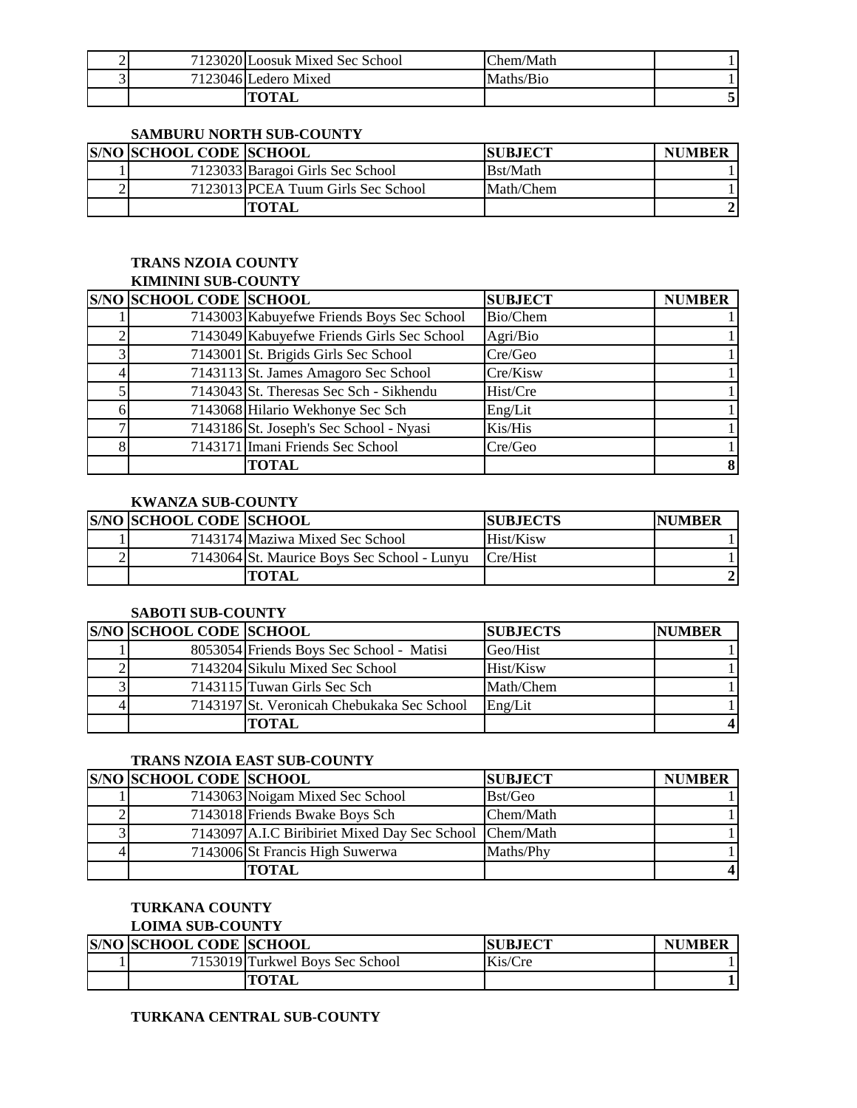| ∼ | 7123020 Loosuk Mixed Sec School | Chem/Math |  |
|---|---------------------------------|-----------|--|
|   | 7123046 Ledero Mixed            | Maths/Bio |  |
|   |                                 |           |  |

#### **SAMBURU NORTH SUB-COUNTY**

| <b>S/NO SCHOOL CODE SCHOOL</b> |                                    | <b>ISUBJECT</b> | <b>NUMBER</b> |
|--------------------------------|------------------------------------|-----------------|---------------|
|                                | 7123033 Baragoi Girls Sec School   | Bst/Math        |               |
|                                | 7123013 PCEA Tuum Girls Sec School | Math/Chem       |               |
|                                | <b>TOTAL</b>                       |                 |               |

#### **TRANS NZOIA COUNTY KIMININI SUB-COUNTY**

| KUYHININI SUD-UUUN I I |                                |                                            |                |               |
|------------------------|--------------------------------|--------------------------------------------|----------------|---------------|
|                        | <b>S/NO SCHOOL CODE SCHOOL</b> |                                            | <b>SUBJECT</b> | <b>NUMBER</b> |
|                        |                                | 7143003 Kabuyefwe Friends Boys Sec School  | Bio/Chem       |               |
|                        |                                | 7143049 Kabuyefwe Friends Girls Sec School | Agri/Bio       |               |
| 3                      |                                | 7143001 St. Brigids Girls Sec School       | Cre/Geo        |               |
|                        |                                | 7143113 St. James Amagoro Sec School       | Cre/Kisw       |               |
|                        |                                | 7143043 St. Theresas Sec Sch - Sikhendu    | Hist/Cre       |               |
|                        |                                | 7143068 Hilario Wekhonye Sec Sch           | Eng/Lit        |               |
|                        |                                | 7143186 St. Joseph's Sec School - Nyasi    | Kis/His        |               |
| 8                      |                                | 7143171 Imani Friends Sec School           | Cre/Geo        |               |
|                        |                                | <b>TOTAL</b>                               |                |               |

# **KWANZA SUB-COUNTY**

|   | <b>S/NO SCHOOL CODE SCHOOL</b> |                                             | <b>SUBJECTS</b> | <b>INUMBER</b> |
|---|--------------------------------|---------------------------------------------|-----------------|----------------|
|   |                                | 7143174 Maziwa Mixed Sec School             | Hist/Kisw       |                |
| ↩ |                                | 7143064 St. Maurice Boys Sec School - Lunyu | Cre/Hist        |                |
|   |                                | ГОТАІ                                       |                 |                |

#### **SABOTI SUB-COUNTY**

| <b>S/NO SCHOOL CODE SCHOOL</b> |                                            | <b>SUBJECTS</b> | <b>NUMBER</b> |
|--------------------------------|--------------------------------------------|-----------------|---------------|
|                                | 8053054 Friends Boys Sec School - Matisi   | Geo/Hist        |               |
|                                | 7143204 Sikulu Mixed Sec School            | Hist/Kisw       |               |
|                                | 7143115 Tuwan Girls Sec Sch                | Math/Chem       |               |
|                                | 7143197 St. Veronicah Chebukaka Sec School | Eng/Lit         |               |
|                                | TOTAL                                      |                 |               |

# **TRANS NZOIA EAST SUB-COUNTY**

| <b>S/NO SCHOOL CODE SCHOOL</b> |                                                         | <b>SUBJECT</b> | <b>NUMBER</b> |
|--------------------------------|---------------------------------------------------------|----------------|---------------|
|                                | 7143063 Noigam Mixed Sec School                         | Bst/Geo        |               |
|                                | 7143018 Friends Bwake Boys Sch                          | Chem/Math      |               |
|                                | 7143097 A.I.C Biribiriet Mixed Day Sec School Chem/Math |                |               |
|                                | 7143006 St Francis High Suwerwa                         | Maths/Phy      |               |
|                                | <b>TOTAL</b>                                            |                |               |

# **TURKANA COUNTY**

# **LOIMA SUB-COUNTY**

| <b>S/NO SCHOOL CODE SCHOOL</b> |                                 | <b>SUBJECT</b> | <b>NUMBER</b> |
|--------------------------------|---------------------------------|----------------|---------------|
|                                | 7153019 Turkwel Boys Sec School | Kis/Cre        |               |
|                                | <b>TOTAL</b>                    |                |               |

# **TURKANA CENTRAL SUB-COUNTY**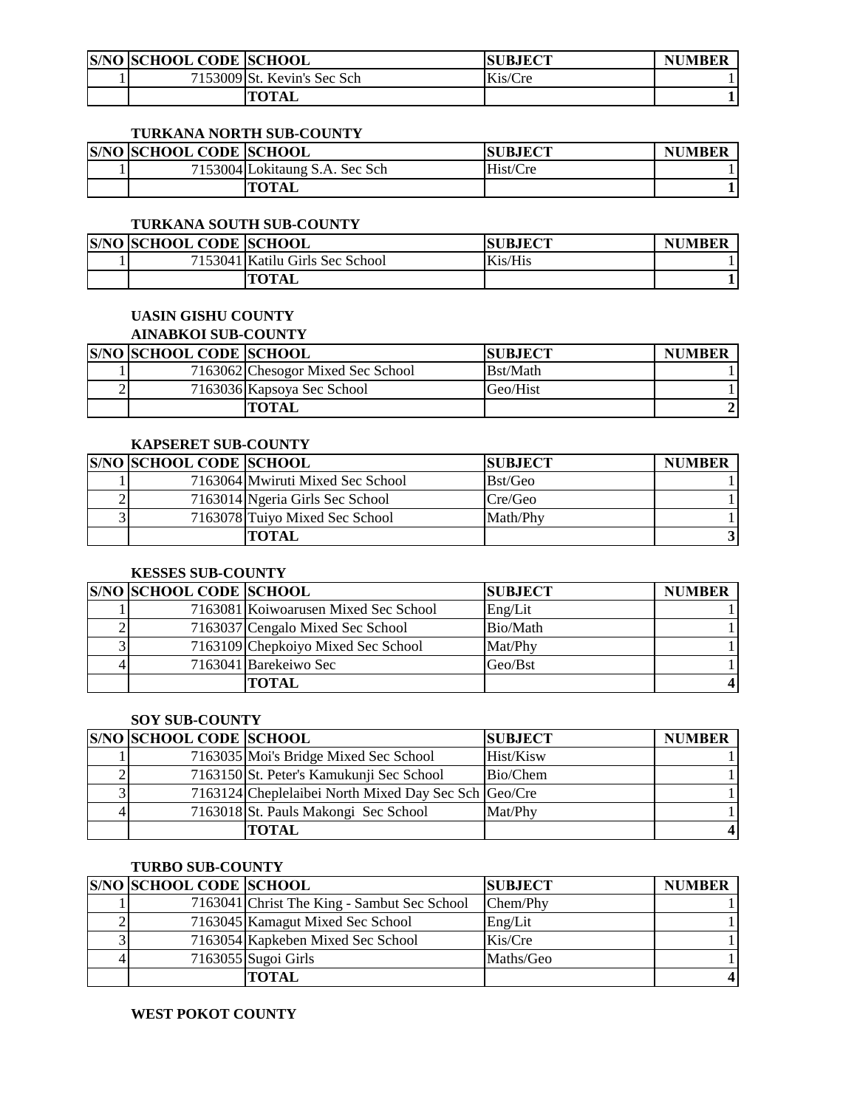| <b>S/NO SCHOOL CODE SCHOOL</b> |                             | <b>SUBJECT</b> | <b>NUMBER</b> |
|--------------------------------|-----------------------------|----------------|---------------|
|                                | 7153009 St. Kevin's Sec Sch | Kis/Cre        |               |
|                                | <b>TOTAL</b>                |                |               |

#### **TURKANA NORTH SUB-COUNTY**

| <b>S/NO SCHOOL CODE SCHOOL</b> |                                | <b>ISUBJECT</b> | <b>NUMBER</b> |
|--------------------------------|--------------------------------|-----------------|---------------|
|                                | 7153004 Lokitaung S.A. Sec Sch | Hist/Cre        |               |
|                                | <b>TOTAL</b>                   |                 |               |

# **TURKANA SOUTH SUB-COUNTY**

| <b>S/NO SCHOOL CODE SCHOOL</b> |                                 | <b>ISUBJECT</b> | <b>NUMBER</b> |
|--------------------------------|---------------------------------|-----------------|---------------|
|                                | 7153041 Katilu Girls Sec School | Kis/His         |               |
|                                | <b>TOTAL</b>                    |                 |               |

# **UASIN GISHU COUNTY**

# **AINABKOI SUB-COUNTY**

| <b>S/NO SCHOOL CODE SCHOOL</b> |                                   | <b>SUBJECT</b> | <b>NUMBER</b> |
|--------------------------------|-----------------------------------|----------------|---------------|
|                                | 7163062 Chesogor Mixed Sec School | Bst/Math       |               |
|                                | 7163036 Kapsoya Sec School        | Geo/Hist       |               |
|                                | TOTAL                             |                |               |

### **KAPSERET SUB-COUNTY**

| <b>S/NO SCHOOL CODE SCHOOL</b> |                                  | <b>ISUBJECT</b> | <b>NUMBER</b> |
|--------------------------------|----------------------------------|-----------------|---------------|
|                                | 7163064 Mwiruti Mixed Sec School | Bst/Geo         |               |
|                                | 7163014 Ngeria Girls Sec School  | Cre/Geo         |               |
|                                | 7163078 Tuiyo Mixed Sec School   | Math/Phy        |               |
|                                | <b>TOTAL</b>                     |                 |               |

### **KESSES SUB-COUNTY**

| <b>S/NO SCHOOL CODE SCHOOL</b> |                                      | <b>SUBJECT</b> | <b>NUMBER</b> |
|--------------------------------|--------------------------------------|----------------|---------------|
|                                | 7163081 Koiwoarusen Mixed Sec School | Eng/Lit        |               |
|                                | 7163037 Cengalo Mixed Sec School     | Bio/Math       |               |
|                                | 7163109 Chepkoiyo Mixed Sec School   | Mat/Phy        |               |
|                                | 7163041 Barekeiwo Sec                | Geo/Bst        |               |
|                                | TOTAL                                |                |               |

### **SOY SUB-COUNTY**

|   | <b>S/NO SCHOOL CODE SCHOOL</b> |                                                      | <b>SUBJECT</b> | <b>NUMBER</b> |
|---|--------------------------------|------------------------------------------------------|----------------|---------------|
|   |                                | 7163035 Moi's Bridge Mixed Sec School                | Hist/Kisw      |               |
|   |                                | 7163150 St. Peter's Kamukunji Sec School             | Bio/Chem       |               |
|   |                                | 7163124 Cheplelaibei North Mixed Day Sec Sch Geo/Cre |                |               |
| 4 |                                | 7163018 St. Pauls Makongi Sec School                 | Mat/Phy        |               |
|   |                                | TOTAL                                                |                |               |

#### **TURBO SUB-COUNTY**

| <b>S/NO SCHOOL CODE SCHOOL</b> |                                             | <b>SUBJECT</b> | <b>NUMBER</b> |
|--------------------------------|---------------------------------------------|----------------|---------------|
|                                | 7163041 Christ The King - Sambut Sec School | Chem/Phy       |               |
|                                | 7163045 Kamagut Mixed Sec School            | Eng/Lit        |               |
|                                | 7163054 Kapkeben Mixed Sec School           | Kis/Cre        |               |
|                                | $7163055$ Sugoi Girls                       | Maths/Geo      |               |
|                                | <b>TOTAL</b>                                |                |               |

#### **WEST POKOT COUNTY**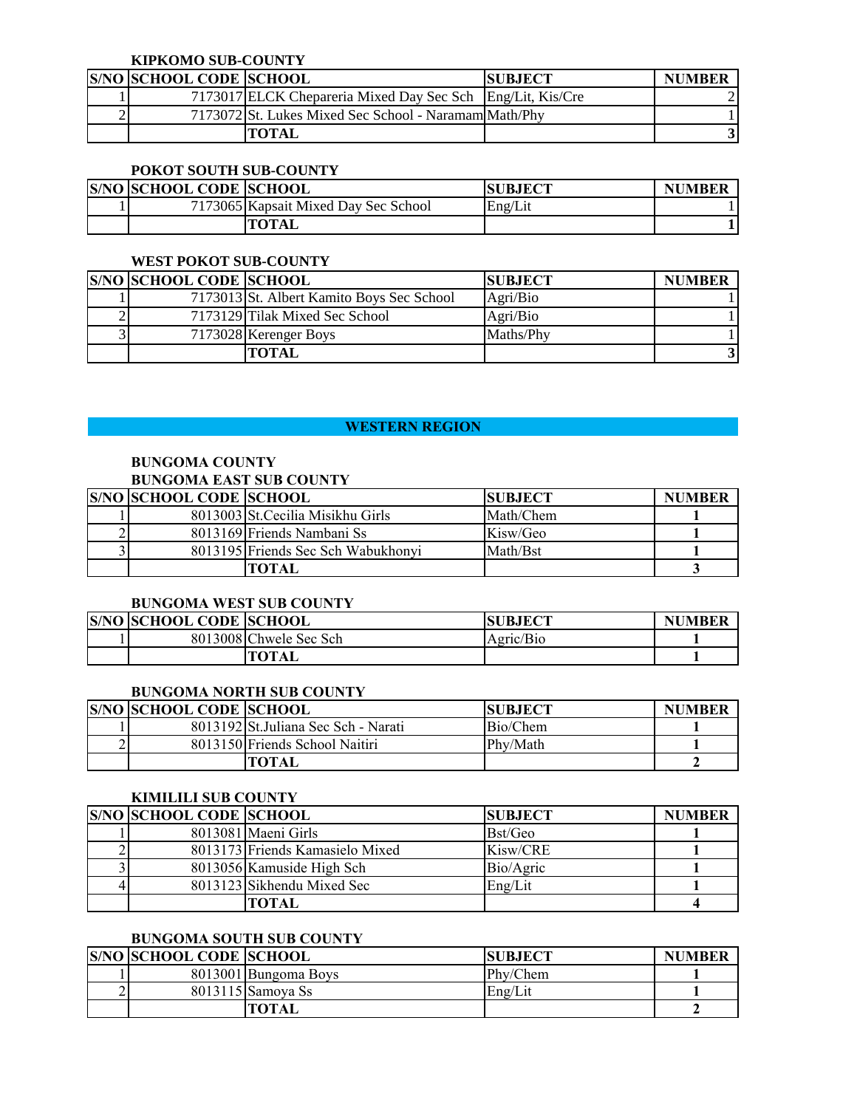#### **KIPKOMO SUB-COUNTY**

| <b>S/NO SCHOOL CODE SCHOOL</b> |                                                            | <b>SUBJECT</b> | <b>NUMBER</b> |
|--------------------------------|------------------------------------------------------------|----------------|---------------|
|                                | 7173017 ELCK Chepareria Mixed Day Sec Sch Eng/Lit, Kis/Cre |                |               |
|                                | 71730721St. Lukes Mixed Sec School - Naramam Math/Phy      |                |               |
|                                | TOTAL                                                      |                |               |

### **POKOT SOUTH SUB-COUNTY**

| <b>S/NO SCHOOL CODE SCHOOL</b> |                                      | <b>SUBJECT</b> | <b>NUMBER</b> |
|--------------------------------|--------------------------------------|----------------|---------------|
|                                | 7173065 Kapsait Mixed Day Sec School | Eng/Lit        |               |
|                                | TOTAL                                |                |               |

#### **WEST POKOT SUB-COUNTY**

| <b>S/NO SCHOOL CODE SCHOOL</b> |                                           | <b>SUBJECT</b> | <b>NUMBER</b> |
|--------------------------------|-------------------------------------------|----------------|---------------|
|                                | 7173013 St. Albert Kamito Boys Sec School | Agri/Bio       |               |
|                                | 7173129 Tilak Mixed Sec School            | Agri/Bio       |               |
|                                | 7173028 Kerenger Boys                     | Maths/Phy      |               |
|                                | TOTAL                                     |                |               |

# **WESTERN REGION AND REGION CONTROL CONTROL CONTROL CONTROL CONTROL CONTROL CONTROL CONTROL CONTROL CONTROL CONTROL**

# **BUNGOMA COUNTY BUNGOMA EAST SUB COUNTY**

| <b>S/NO SCHOOL CODE SCHOOL</b> |                                    | <b>SUBJECT</b> | <b>NUMBER</b> |
|--------------------------------|------------------------------------|----------------|---------------|
|                                | 8013003 St. Cecilia Misikhu Girls  | Math/Chem      |               |
|                                | 8013169 Friends Nambani Ss         | Kisw/Geo       |               |
|                                | 8013195 Friends Sec Sch Wabukhonyi | Math/Bst       |               |
|                                | <b>TOTAL</b>                       |                |               |

### **BUNGOMA WEST SUB COUNTY**

| <b>S/NO SCHOOL CODE SCHOOL</b> |                        | <b>SUBJECT</b> | <b>NUMBER</b> |
|--------------------------------|------------------------|----------------|---------------|
|                                | 8013008 Chwele Sec Sch | Agric/Bio      |               |
|                                | <b>TOTAL</b>           |                |               |

# **BUNGOMA NORTH SUB COUNTY**

| <b>S/NO SCHOOL CODE SCHOOL</b> |                                      | <b>ISUBJECT</b> | <b>NUMBER</b> |
|--------------------------------|--------------------------------------|-----------------|---------------|
|                                | 8013192 St. Juliana Sec Sch - Narati | Bio/Chem        |               |
|                                | 8013150 Friends School Naitiri       | Phy/Math        |               |
|                                | TOTAL                                |                 |               |

#### **KIMILILI SUB COUNTY**

| <b>S/NO SCHOOL CODE SCHOOL</b> |                                 | <b>SUBJECT</b> | <b>NUMBER</b> |
|--------------------------------|---------------------------------|----------------|---------------|
|                                | 8013081 Maeni Girls             | Bst/Geo        |               |
|                                | 8013173 Friends Kamasielo Mixed | Kisw/CRE       |               |
|                                | 8013056 Kamuside High Sch       | Bio/Agric      |               |
|                                | 8013123 Sikhendu Mixed Sec      | Eng/Lit        |               |
|                                | готан                           |                |               |

# **BUNGOMA SOUTH SUB COUNTY**

| <b>S/NO SCHOOL CODE SCHOOL</b> |                      | <b>SUBJECT</b> | <b>NUMBER</b> |
|--------------------------------|----------------------|----------------|---------------|
|                                | 8013001 Bungoma Boys | Phy/Chem       |               |
|                                | 8013115 Samova Ss    | Eng/Lit        |               |
|                                | TOTAL                |                |               |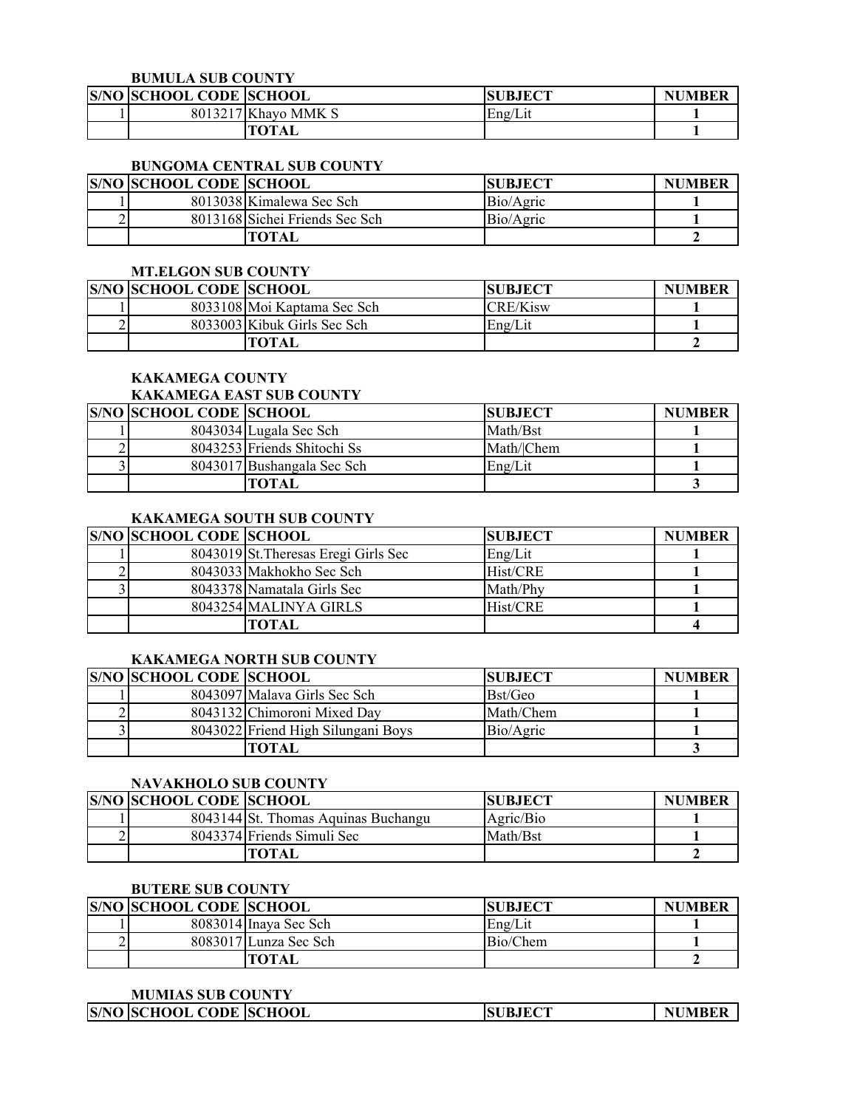### **BUMULA SUB COUNTY**

| <b>S/NO SCHOOL CODE SCHOOL</b> |                     | <b>JBJECT</b> | <b>NUMBER</b> |
|--------------------------------|---------------------|---------------|---------------|
|                                | 8013217 Khayo MMK S | Eng/Lit       |               |
|                                | <b>TOTAL</b>        |               |               |

#### **BUNGOMA CENTRAL SUB COUNTY**

| <b>S/NO SCHOOL CODE SCHOOL</b> |                                | <b>SUBJECT</b> | <b>NUMBER</b> |
|--------------------------------|--------------------------------|----------------|---------------|
|                                | 8013038 Kimalewa Sec Sch       | Bio/Agric      |               |
|                                | 8013168 Sichei Friends Sec Sch | Bio/Agric      |               |
|                                | TOTAL                          |                |               |

### **MT.ELGON SUB COUNTY**

| <b>S/NO SCHOOL CODE SCHOOL</b> |                             | <b>SUBJECT</b> | <b>NUMBER</b> |
|--------------------------------|-----------------------------|----------------|---------------|
|                                | 8033108 Moi Kaptama Sec Sch | $CRE/K$ isw    |               |
|                                | 8033003 Kibuk Girls Sec Sch | Eng/Lit        |               |
|                                | TOTAL                       |                |               |

# **KAKAMEGA COUNTY**

#### **KAKAMEGA EAST SUB COUNTY**

| <b>S/NO SCHOOL CODE SCHOOL</b> |                             | <b>SUBJECT</b> | <b>NUMBER</b> |
|--------------------------------|-----------------------------|----------------|---------------|
|                                | 8043034 Lugala Sec Sch      | Math/Bst       |               |
|                                | 8043253 Friends Shitochi Ss | Math/Chem      |               |
|                                | 8043017 Bushangala Sec Sch  | Eng/Lit        |               |
|                                | TOTAL                       |                |               |

# **KAKAMEGA SOUTH SUB COUNTY**

| <b>S/NO SCHOOL CODE SCHOOL</b> |                                      | <b>SUBJECT</b> | <b>NUMBER</b> |
|--------------------------------|--------------------------------------|----------------|---------------|
|                                | 8043019 St. Theresas Eregi Girls Sec | Eng/Lit        |               |
|                                | 8043033 Makhokho Sec Sch             | Hist/CRE       |               |
|                                | 8043378 Namatala Girls Sec           | Math/Phy       |               |
|                                | 8043254 MALINYA GIRLS                | Hist/CRE       |               |
|                                | ГОТАІ.                               |                |               |

#### **KAKAMEGA NORTH SUB COUNTY**

| <b>S/NO SCHOOL CODE SCHOOL</b> |                                    | <b>SUBJECT</b> | <b>NUMBER</b> |
|--------------------------------|------------------------------------|----------------|---------------|
|                                | 8043097 Malava Girls Sec Sch       | Bst/Geo        |               |
|                                | 8043132 Chimoroni Mixed Day        | Math/Chem      |               |
|                                | 8043022 Friend High Silungani Boys | Bio/Agric      |               |
|                                | ТОТАІ                              |                |               |

# **NAVAKHOLO SUB COUNTY**

| <b>S/NO SCHOOL CODE SCHOOL</b> |                                     | <b>ISUBJECT</b> | <b>NUMBER</b> |
|--------------------------------|-------------------------------------|-----------------|---------------|
|                                | 8043144 St. Thomas Aquinas Buchangu | Agric/Bio       |               |
|                                | 8043374 Friends Simuli Sec          | Math/Bst        |               |
|                                | ТОТАІ                               |                 |               |

### **BUTERE SUB COUNTY**

|   | <b>S/NO SCHOOL CODE SCHOOL</b> |                       | <b>SUBJECT</b> | <b>NUMBER</b> |
|---|--------------------------------|-----------------------|----------------|---------------|
|   |                                | 8083014 Inaya Sec Sch | Eng/Lit        |               |
| ∼ |                                | 8083017 Lunza Sec Sch | Bio/Chem       |               |
|   |                                | <b>TOTAL</b>          |                |               |

#### **MUMIAS SUB COUNTY**

| <b>S/NO SCHOOL CODE SCHOOL</b><br><b>SUBJECT</b> |
|--------------------------------------------------|
|--------------------------------------------------|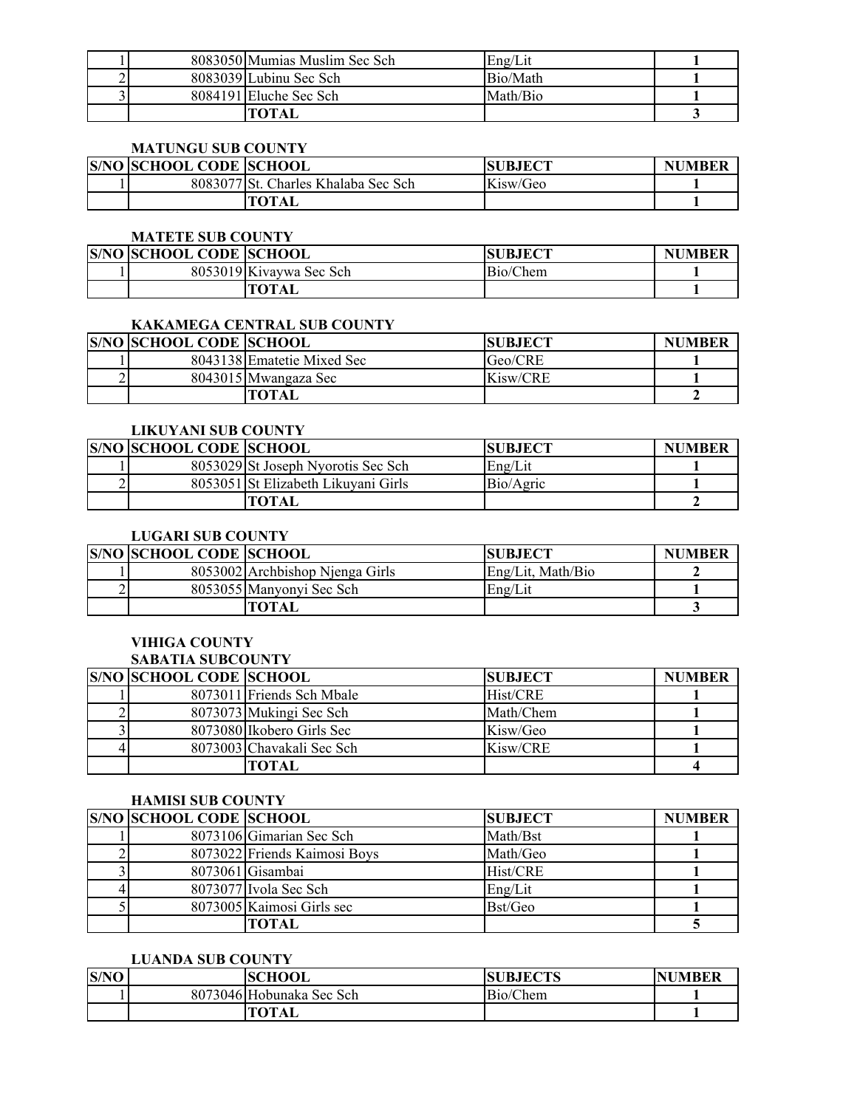|  | 8083050 Mumias Muslim Sec Sch | Eng/Lit  |  |
|--|-------------------------------|----------|--|
|  | 8083039 Lubinu Sec Sch        | Bio/Math |  |
|  | 8084191 Eluche Sec Sch        | Math/Bio |  |
|  | готаі                         |          |  |

### **MATUNGU SUB COUNTY**

| <b>S/NO SCHOOL CODE SCHOOL</b> |                                     | <b>SUBJECT</b> | <b>NUMBER</b> |
|--------------------------------|-------------------------------------|----------------|---------------|
|                                | 8083077 St. Charles Khalaba Sec Sch | Kisw/Geo       |               |
|                                | TOTAL                               |                |               |

#### **MATETE SUB COUNTY**

| <b>S/NO SCHOOL CODE SCHOOL</b> |                         | <b>JBJECT</b><br>SU | <b>NUMBER</b> |
|--------------------------------|-------------------------|---------------------|---------------|
|                                | 8053019 Kivaywa Sec Sch | Bio/Chem            |               |
|                                | <b>TOTAL</b>            |                     |               |

# **KAKAMEGA CENTRAL SUB COUNTY**

| <b>S/NO SCHOOL CODE SCHOOL</b> |                            | <b>SUBJECT</b> | <b>NUMBER</b> |
|--------------------------------|----------------------------|----------------|---------------|
|                                | 8043138 Ematetie Mixed Sec | Geo/CRE        |               |
|                                | 8043015 Mwangaza Sec       | Kisw/CRE       |               |
|                                | TOTAL                      |                |               |

#### **LIKUYANI SUB COUNTY**

| <b>S/NO SCHOOL CODE SCHOOL</b> |                                     | <b>SUBJECT</b> | <b>NUMBER</b> |
|--------------------------------|-------------------------------------|----------------|---------------|
|                                | 8053029 St Joseph Nyorotis Sec Sch  | Eng/Lit        |               |
|                                | 8053051 St Elizabeth Likuyani Girls | Bio/Agric      |               |
|                                | "OTAL                               |                |               |

# **LUGARI SUB COUNTY**

|   | <b>S/NO SCHOOL CODE SCHOOL</b> |                                 | <b>ISUBJECT</b>   | <b>NUMBER</b> |
|---|--------------------------------|---------------------------------|-------------------|---------------|
|   |                                | 8053002 Archbishop Njenga Girls | Eng/Lit, Math/Bio |               |
| ∸ |                                | 8053055 Manyonyi Sec Sch        | Eng/Lit           |               |
|   |                                | TOTAL                           |                   |               |

# **VIHIGA COUNTY**

### **SABATIA SUBCOUNTY S/NO SCHOOL CODE SCHOOL**<br> **SUBJECT NUMBER**<br> **EXPLORE EXPLORE NUMBER**<br> **EXPLORE EXPLORE EXPLORE EXPLORE EXPLORE EXPLORE** 1 8073011 Friends Sch Mbale Hist/CRE 1 2 8073073 Mukingi Sec Sch Math/Chem **1** 3 8073080 Ikobero Girls Sec Kisw/Geo **1** 1 4 8073003 Chavakali Sec Sch Kisw/CRE **1 TOTAL 4**

### **HAMISI SUB COUNTY**

| <b>S/NO SCHOOL CODE SCHOOL</b> |                              | <b>SUBJECT</b> | <b>NUMBER</b> |
|--------------------------------|------------------------------|----------------|---------------|
|                                | 8073106 Gimarian Sec Sch     | Math/Bst       |               |
|                                | 8073022 Friends Kaimosi Boys | Math/Geo       |               |
|                                | 8073061 Gisambai             | Hist/CRE       |               |
|                                | 8073077 Ivola Sec Sch        | Eng/Lit        |               |
|                                | 8073005 Kaimosi Girls sec    | Bst/Geo        |               |
|                                | FOTAL                        |                |               |

#### **LUANDA SUB COUNTY**

| S/NO | <b>ISCHOOL</b>           | <b>SUBJECTS</b> | UMBER<br>NI |
|------|--------------------------|-----------------|-------------|
|      | 8073046 Hobunaka Sec Sch | Bio/Chem        |             |
|      | <b>TOTAL</b>             |                 |             |